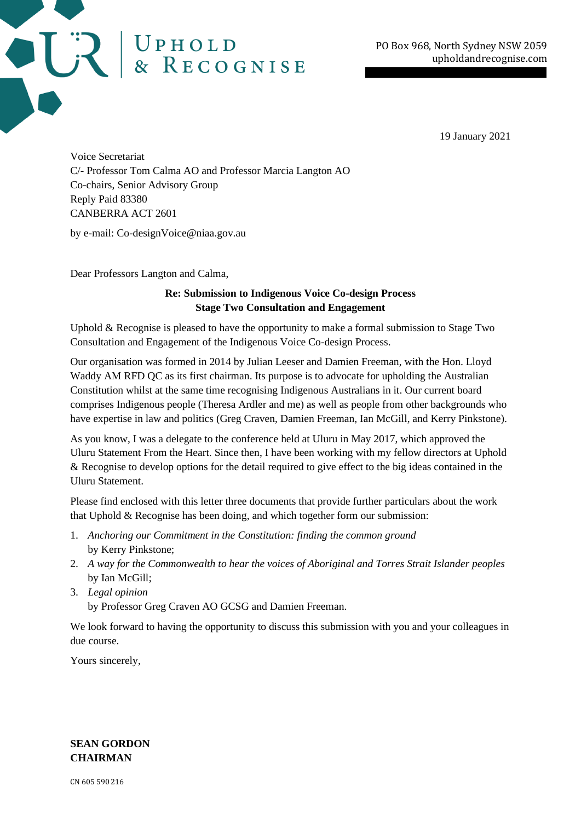# R | UPHOLD & RECOGNISE

19 January 2021

Voice Secretariat C/- Professor Tom Calma AO and Professor Marcia Langton AO Co-chairs, Senior Advisory Group Reply Paid 83380 CANBERRA ACT 2601

by e-mail: Co-designVoice@niaa.gov.au

Dear Professors Langton and Calma,

#### **Re: Submission to Indigenous Voice Co-design Process Stage Two Consultation and Engagement**

Uphold & Recognise is pleased to have the opportunity to make a formal submission to Stage Two Consultation and Engagement of the Indigenous Voice Co-design Process.

 comprises Indigenous people (Theresa Ardler and me) as well as people from other backgrounds who Our organisation was formed in 2014 by Julian Leeser and Damien Freeman, with the Hon. Lloyd Waddy AM RFD QC as its first chairman. Its purpose is to advocate for upholding the Australian Constitution whilst at the same time recognising Indigenous Australians in it. Our current board have expertise in law and politics (Greg Craven, Damien Freeman, Ian McGill, and Kerry Pinkstone).

As you know, I was a delegate to the conference held at Uluru in May 2017, which approved the Uluru Statement From the Heart. Since then, I have been working with my fellow directors at Uphold & Recognise to develop options for the detail required to give effect to the big ideas contained in the Uluru Statement.

Please find enclosed with this letter three documents that provide further particulars about the work that Uphold & Recognise has been doing, and which together form our submission:

- 1. *Anchoring our Commitment in the Constitution: finding the common ground* by Kerry Pinkstone;
- 2. *A way for the Commonwealth to hear the voices of Aboriginal and Torres Strait Islander peoples* by Ian McGill;
- 3. *Legal opinion* by Professor Greg Craven AO GCSG and Damien Freeman.

 We look forward to having the opportunity to discuss this submission with you and your colleagues in due course.

Yours sincerely,

**SEAN GORDON CHAIRMAN**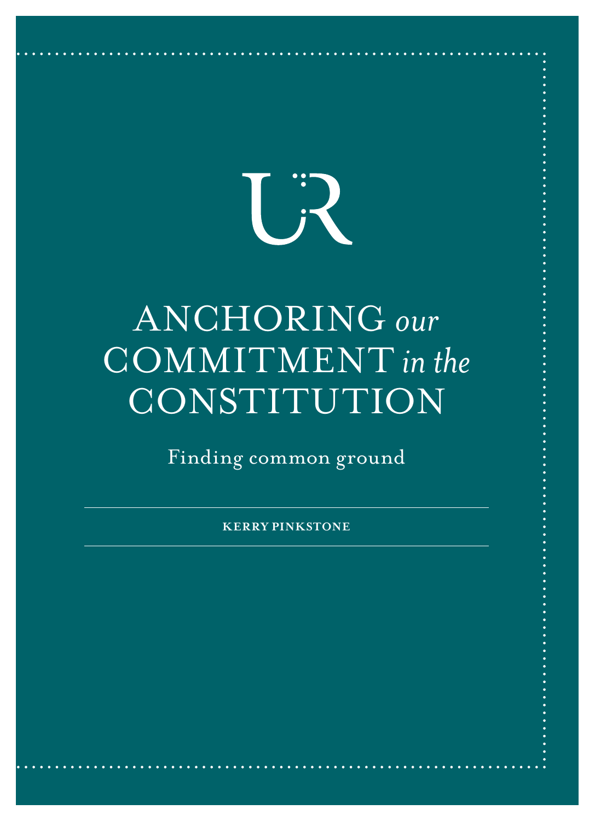

# ANCHORING *our* COMMITMENT *in the*  CONSTITUTION

Finding common ground

**KERRY PINKSTONE**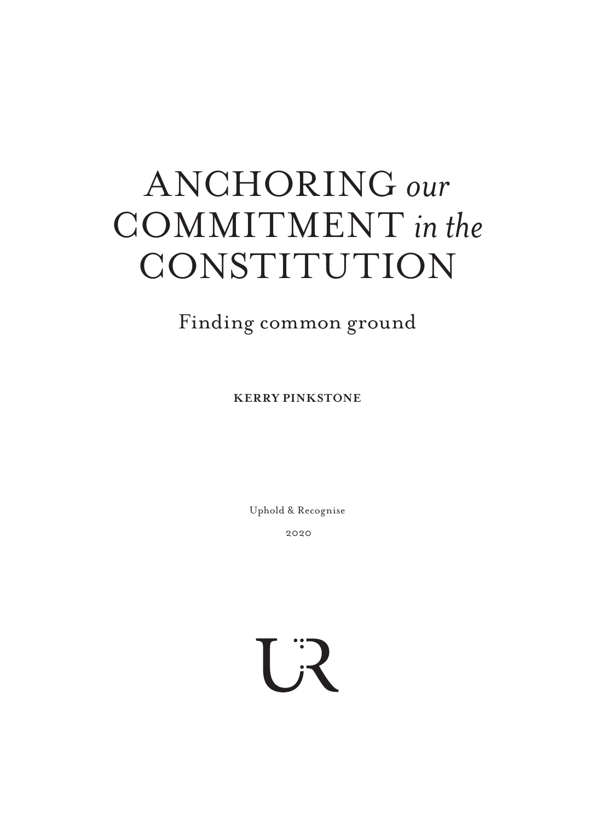# ANCHORING *our* COMMITMENT *in the* CONSTITUTION

# Finding common ground

**KERRY PINKSTONE** 

Uphold & Recognise

2020

 $\overline{R}$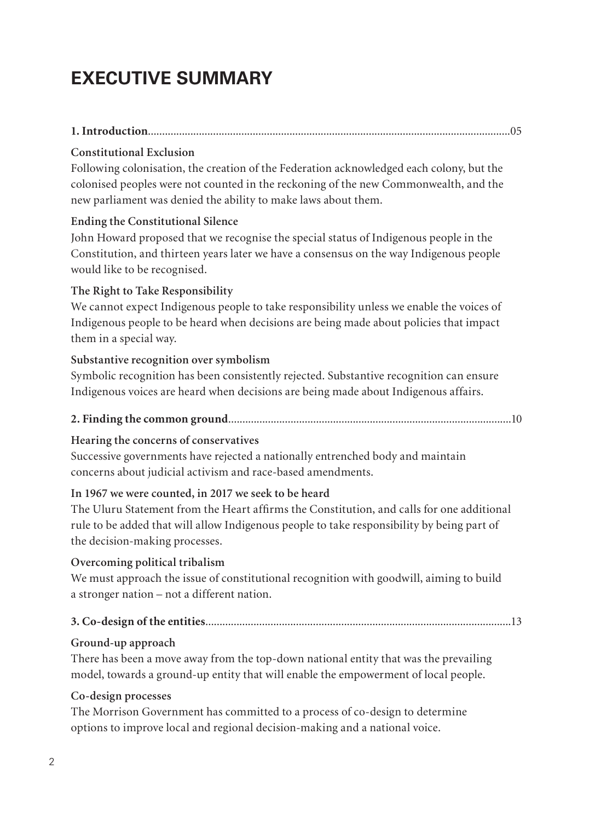# **EXECUTIVE SUMMARY**

#### **1. Introduction**................................................................................................................................05

#### **Constitutional Exclusion**

Following colonisation, the creation of the Federation acknowledged each colony, but the colonised peoples were not counted in the reckoning of the new Commonwealth, and the new parliament was denied the ability to make laws about them.

#### **Ending the Constitutional Silence**

John Howard proposed that we recognise the special status of Indigenous people in the Constitution, and thirteen years later we have a consensus on the way Indigenous people would like to be recognised.

#### **The Right to Take Responsibility**

We cannot expect Indigenous people to take responsibility unless we enable the voices of Indigenous people to be heard when decisions are being made about policies that impact them in a special way.

#### **Substantive recognition over symbolism**

Symbolic recognition has been consistently rejected. Substantive recognition can ensure Indigenous voices are heard when decisions are being made about Indigenous affairs.

**2. Finding the common ground**....................................................................................................10

#### **Hearing the concerns of conservatives**

Successive governments have rejected a nationally entrenched body and maintain concerns about judicial activism and race-based amendments.

#### **In 1967 we were counted, in 2017 we seek to be heard**

The Uluru Statement from the Heart affirms the Constitution, and calls for one additional rule to be added that will allow Indigenous people to take responsibility by being part of the decision-making processes.

#### **Overcoming political tribalism**

We must approach the issue of constitutional recognition with goodwill, aiming to build a stronger nation – not a different nation.

#### **3. Co-design of the entities**............................................................................................................13

#### **Ground-up approach**

There has been a move away from the top-down national entity that was the prevailing model, towards a ground-up entity that will enable the empowerment of local people.

#### **Co-design processes**

The Morrison Government has committed to a process of co-design to determine options to improve local and regional decision-making and a national voice.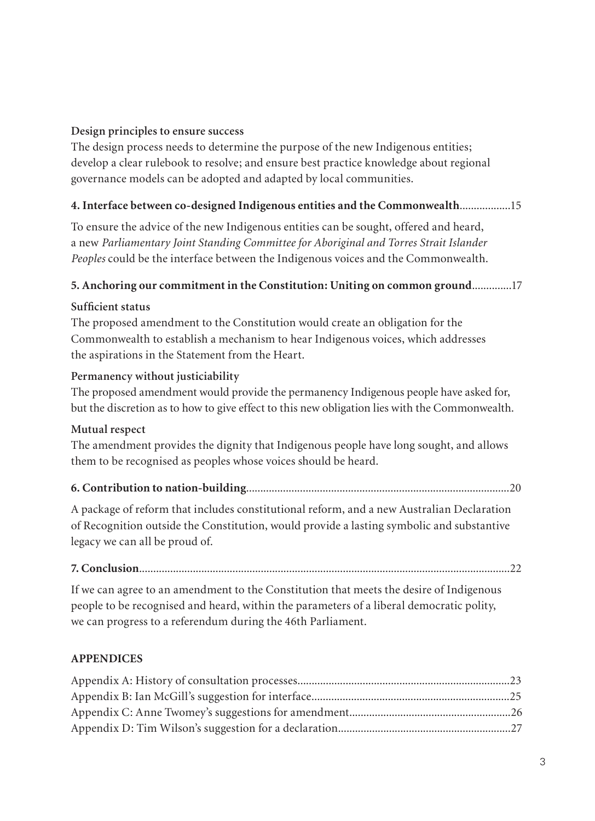#### **Design principles to ensure success**

The design process needs to determine the purpose of the new Indigenous entities; develop a clear rulebook to resolve; and ensure best practice knowledge about regional governance models can be adopted and adapted by local communities.

#### **4. Interface between co-designed Indigenous entities and the Commonwealth**..................15

To ensure the advice of the new Indigenous entities can be sought, offered and heard, a new *Parliamentary Joint Standing Committee for Aboriginal and Torres Strait Islander Peoples* could be the interface between the Indigenous voices and the Commonwealth.

#### **5. Anchoring our commitment in the Constitution: Uniting on common ground**..............17

#### **Sufficient status**

The proposed amendment to the Constitution would create an obligation for the Commonwealth to establish a mechanism to hear Indigenous voices, which addresses the aspirations in the Statement from the Heart.

#### **Permanency without justiciability**

The proposed amendment would provide the permanency Indigenous people have asked for, but the discretion as to how to give effect to this new obligation lies with the Commonwealth.

#### **Mutual respect**

The amendment provides the dignity that Indigenous people have long sought, and allows them to be recognised as peoples whose voices should be heard.

**6. Contribution to nation-building**.............................................................................................20

A package of reform that includes constitutional reform, and a new Australian Declaration of Recognition outside the Constitution, would provide a lasting symbolic and substantive legacy we can all be proud of.

#### **7. Conclusion**...................................................................................................................................22

If we can agree to an amendment to the Constitution that meets the desire of Indigenous people to be recognised and heard, within the parameters of a liberal democratic polity, we can progress to a referendum during the 46th Parliament.

#### **APPENDICES**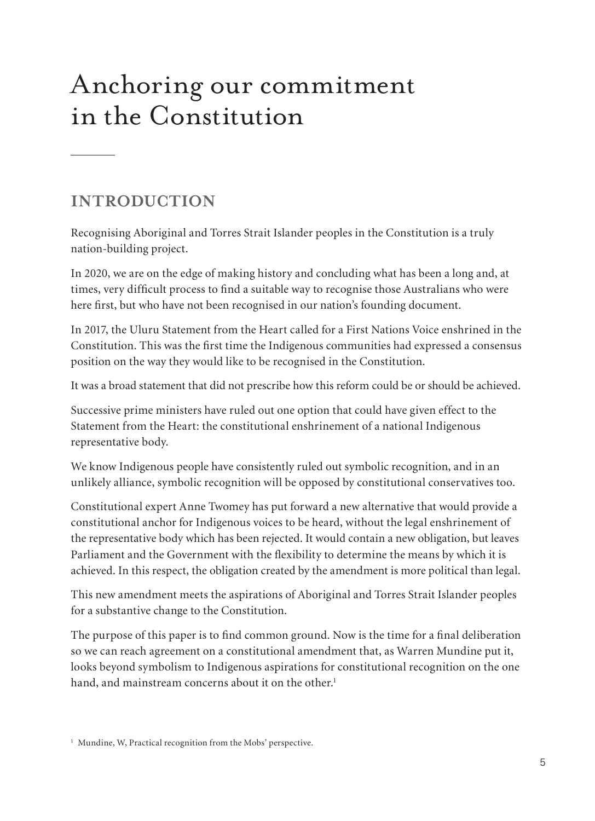# Anchoring our commitment in the Constitution

# **INTRODUCTION**

Recognising Aboriginal and Torres Strait Islander peoples in the Constitution is a truly nation-building project.

In 2020, we are on the edge of making history and concluding what has been a long and, at times, very difficult process to find a suitable way to recognise those Australians who were here first, but who have not been recognised in our nation's founding document.

In 2017, the Uluru Statement from the Heart called for a First Nations Voice enshrined in the Constitution. This was the first time the Indigenous communities had expressed a consensus position on the way they would like to be recognised in the Constitution.

It was a broad statement that did not prescribe how this reform could be or should be achieved.

Successive prime ministers have ruled out one option that could have given effect to the Statement from the Heart: the constitutional enshrinement of a national Indigenous representative body.

We know Indigenous people have consistently ruled out symbolic recognition, and in an unlikely alliance, symbolic recognition will be opposed by constitutional conservatives too.

Constitutional expert Anne Twomey has put forward a new alternative that would provide a constitutional anchor for Indigenous voices to be heard, without the legal enshrinement of the representative body which has been rejected. It would contain a new obligation, but leaves Parliament and the Government with the flexibility to determine the means by which it is achieved. In this respect, the obligation created by the amendment is more political than legal.

This new amendment meets the aspirations of Aboriginal and Torres Strait Islander peoples for a substantive change to the Constitution.

The purpose of this paper is to find common ground. Now is the time for a final deliberation so we can reach agreement on a constitutional amendment that, as Warren Mundine put it, looks beyond symbolism to Indigenous aspirations for constitutional recognition on the one hand, and mainstream concerns about it on the other.<sup>1</sup>

<sup>&</sup>lt;sup>1</sup> Mundine, W, Practical recognition from the Mobs' perspective.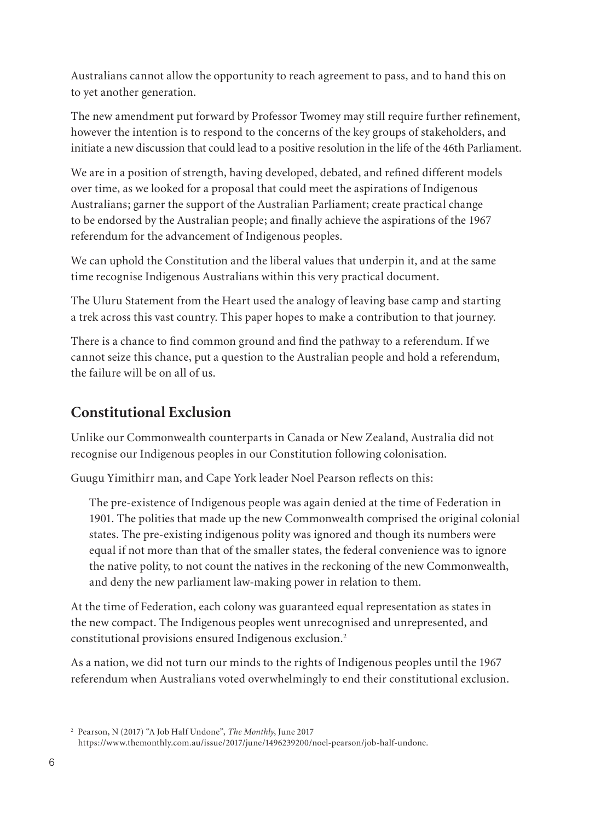Australians cannot allow the opportunity to reach agreement to pass, and to hand this on to yet another generation.

The new amendment put forward by Professor Twomey may still require further refinement, however the intention is to respond to the concerns of the key groups of stakeholders, and initiate a new discussion that could lead to a positive resolution in the life of the 46th Parliament.

We are in a position of strength, having developed, debated, and refined different models over time, as we looked for a proposal that could meet the aspirations of Indigenous Australians; garner the support of the Australian Parliament; create practical change to be endorsed by the Australian people; and finally achieve the aspirations of the 1967 referendum for the advancement of Indigenous peoples.

We can uphold the Constitution and the liberal values that underpin it, and at the same time recognise Indigenous Australians within this very practical document.

The Uluru Statement from the Heart used the analogy of leaving base camp and starting a trek across this vast country. This paper hopes to make a contribution to that journey.

There is a chance to find common ground and find the pathway to a referendum. If we cannot seize this chance, put a question to the Australian people and hold a referendum, the failure will be on all of us.

#### **Constitutional Exclusion**

Unlike our Commonwealth counterparts in Canada or New Zealand, Australia did not recognise our Indigenous peoples in our Constitution following colonisation.

Guugu Yimithirr man, and Cape York leader Noel Pearson reflects on this:

The pre-existence of Indigenous people was again denied at the time of Federation in 1901. The polities that made up the new Commonwealth comprised the original colonial states. The pre-existing indigenous polity was ignored and though its numbers were equal if not more than that of the smaller states, the federal convenience was to ignore the native polity, to not count the natives in the reckoning of the new Commonwealth, and deny the new parliament law-making power in relation to them.

At the time of Federation, each colony was guaranteed equal representation as states in the new compact. The Indigenous peoples went unrecognised and unrepresented, and constitutional provisions ensured Indigenous exclusion.2

As a nation, we did not turn our minds to the rights of Indigenous peoples until the 1967 referendum when Australians voted overwhelmingly to end their constitutional exclusion.

<sup>2</sup> Pearson, N (2017) "A Job Half Undone", *The Monthly*, June 2017 https://www.themonthly.com.au/issue/2017/june/1496239200/noel-pearson/job-half-undone.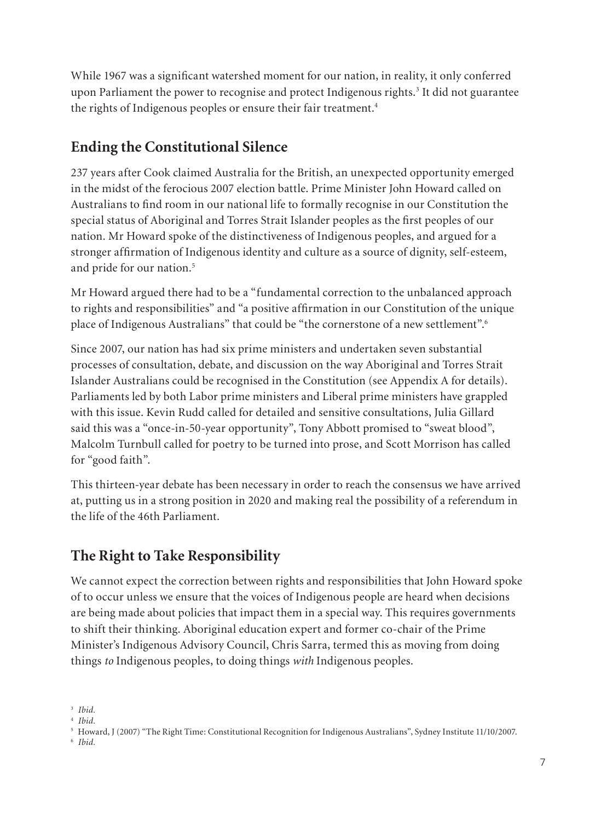While 1967 was a significant watershed moment for our nation, in reality, it only conferred upon Parliament the power to recognise and protect Indigenous rights.<sup>3</sup> It did not guarantee the rights of Indigenous peoples or ensure their fair treatment.<sup>4</sup>

# **Ending the Constitutional Silence**

237 years after Cook claimed Australia for the British, an unexpected opportunity emerged in the midst of the ferocious 2007 election battle. Prime Minister John Howard called on Australians to find room in our national life to formally recognise in our Constitution the special status of Aboriginal and Torres Strait Islander peoples as the first peoples of our nation. Mr Howard spoke of the distinctiveness of Indigenous peoples, and argued for a stronger affirmation of Indigenous identity and culture as a source of dignity, self-esteem, and pride for our nation.<sup>5</sup>

Mr Howard argued there had to be a "fundamental correction to the unbalanced approach to rights and responsibilities" and "a positive affirmation in our Constitution of the unique place of Indigenous Australians" that could be "the cornerstone of a new settlement".6

Since 2007, our nation has had six prime ministers and undertaken seven substantial processes of consultation, debate, and discussion on the way Aboriginal and Torres Strait Islander Australians could be recognised in the Constitution (see Appendix A for details). Parliaments led by both Labor prime ministers and Liberal prime ministers have grappled with this issue. Kevin Rudd called for detailed and sensitive consultations, Julia Gillard said this was a "once-in-50-year opportunity", Tony Abbott promised to "sweat blood", Malcolm Turnbull called for poetry to be turned into prose, and Scott Morrison has called for "good faith".

This thirteen-year debate has been necessary in order to reach the consensus we have arrived at, putting us in a strong position in 2020 and making real the possibility of a referendum in the life of the 46th Parliament.

# **The Right to Take Responsibility**

We cannot expect the correction between rights and responsibilities that John Howard spoke of to occur unless we ensure that the voices of Indigenous people are heard when decisions are being made about policies that impact them in a special way. This requires governments to shift their thinking. Aboriginal education expert and former co-chair of the Prime Minister's Indigenous Advisory Council, Chris Sarra, termed this as moving from doing things *to* Indigenous peoples, to doing things *with* Indigenous peoples.

<sup>3</sup>*Ibid.* 

<sup>4</sup>*Ibid.* 

<sup>5</sup> Howard, J (2007) "The Right Time: Constitutional Recognition for Indigenous Australians", Sydney Institute 11/10/2007.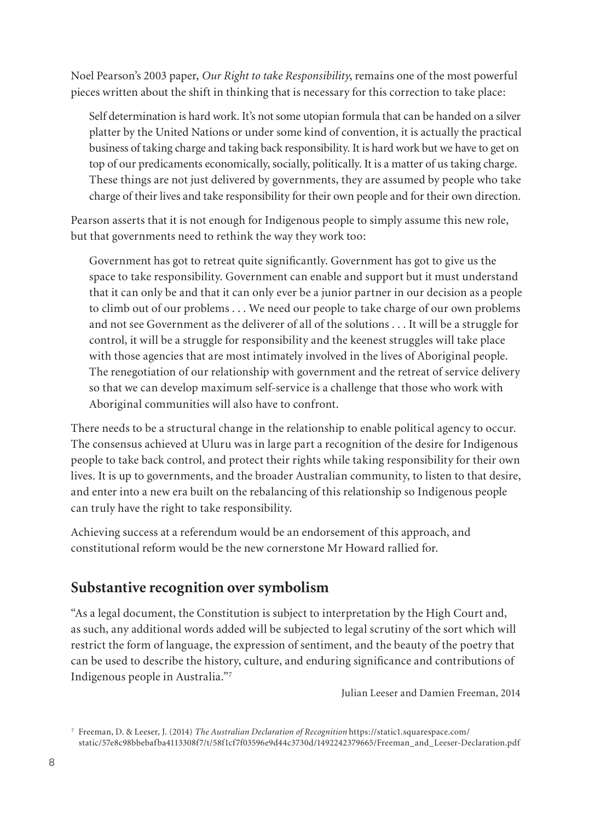Noel Pearson's 2003 paper, *Our Right to take Responsibility*, remains one of the most powerful pieces written about the shift in thinking that is necessary for this correction to take place:

Self determination is hard work. It's not some utopian formula that can be handed on a silver platter by the United Nations or under some kind of convention, it is actually the practical business of taking charge and taking back responsibility. It is hard work but we have to get on top of our predicaments economically, socially, politically. It is a matter of us taking charge. These things are not just delivered by governments, they are assumed by people who take charge of their lives and take responsibility for their own people and for their own direction.

Pearson asserts that it is not enough for Indigenous people to simply assume this new role, but that governments need to rethink the way they work too:

Government has got to retreat quite significantly. Government has got to give us the space to take responsibility. Government can enable and support but it must understand that it can only be and that it can only ever be a junior partner in our decision as a people to climb out of our problems . . . We need our people to take charge of our own problems and not see Government as the deliverer of all of the solutions . . . It will be a struggle for control, it will be a struggle for responsibility and the keenest struggles will take place with those agencies that are most intimately involved in the lives of Aboriginal people. The renegotiation of our relationship with government and the retreat of service delivery so that we can develop maximum self-service is a challenge that those who work with Aboriginal communities will also have to confront.

There needs to be a structural change in the relationship to enable political agency to occur. The consensus achieved at Uluru was in large part a recognition of the desire for Indigenous people to take back control, and protect their rights while taking responsibility for their own lives. It is up to governments, and the broader Australian community, to listen to that desire, and enter into a new era built on the rebalancing of this relationship so Indigenous people can truly have the right to take responsibility.

Achieving success at a referendum would be an endorsement of this approach, and constitutional reform would be the new cornerstone Mr Howard rallied for.

#### **Substantive recognition over symbolism**

 Indigenous people in Australia."7 "As a legal document, the Constitution is subject to interpretation by the High Court and, as such, any additional words added will be subjected to legal scrutiny of the sort which will restrict the form of language, the expression of sentiment, and the beauty of the poetry that can be used to describe the history, culture, and enduring significance and contributions of

Julian Leeser and Damien Freeman, 2014

<sup>7</sup> Freeman, D. & Leeser, J. (2014) *The Australian Declaration of Recognition* https://static1.squarespace.com/ static/57e8c98bbebafba4113308f7/t/58f1cf7f03596e9d44c3730d/1492242379665/Freeman\_and\_Leeser-Declaration.pdf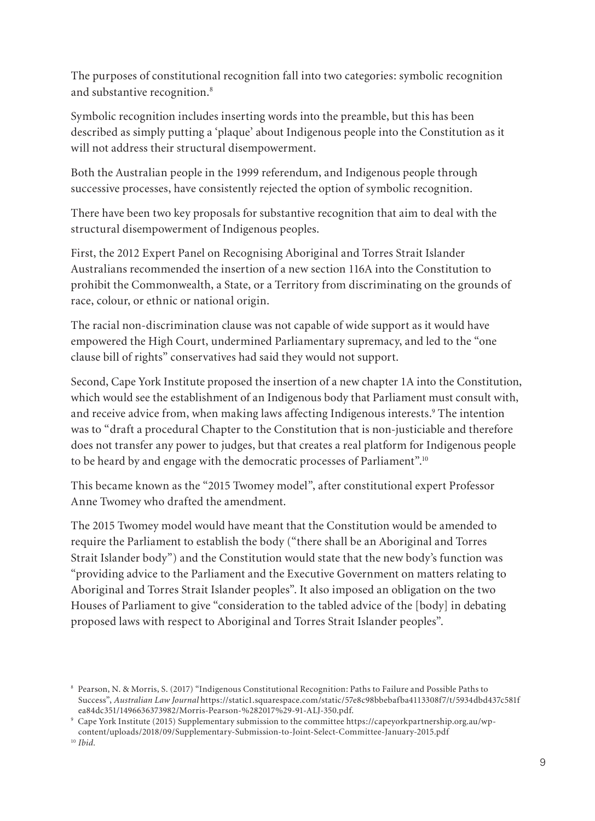The purposes of constitutional recognition fall into two categories: symbolic recognition and substantive recognition.<sup>8</sup>

Symbolic recognition includes inserting words into the preamble, but this has been described as simply putting a 'plaque' about Indigenous people into the Constitution as it will not address their structural disempowerment.

Both the Australian people in the 1999 referendum, and Indigenous people through successive processes, have consistently rejected the option of symbolic recognition.

There have been two key proposals for substantive recognition that aim to deal with the structural disempowerment of Indigenous peoples.

First, the 2012 Expert Panel on Recognising Aboriginal and Torres Strait Islander Australians recommended the insertion of a new section 116A into the Constitution to prohibit the Commonwealth, a State, or a Territory from discriminating on the grounds of race, colour, or ethnic or national origin.

The racial non-discrimination clause was not capable of wide support as it would have empowered the High Court, undermined Parliamentary supremacy, and led to the "one clause bill of rights" conservatives had said they would not support.

Second, Cape York Institute proposed the insertion of a new chapter 1A into the Constitution, which would see the establishment of an Indigenous body that Parliament must consult with, and receive advice from, when making laws affecting Indigenous interests.<sup>9</sup> The intention was to "draft a procedural Chapter to the Constitution that is non-justiciable and therefore does not transfer any power to judges, but that creates a real platform for Indigenous people to be heard by and engage with the democratic processes of Parliament".10

This became known as the "2015 Twomey model", after constitutional expert Professor Anne Twomey who drafted the amendment.

The 2015 Twomey model would have meant that the Constitution would be amended to require the Parliament to establish the body ("there shall be an Aboriginal and Torres Strait Islander body") and the Constitution would state that the new body's function was "providing advice to the Parliament and the Executive Government on matters relating to Aboriginal and Torres Strait Islander peoples". It also imposed an obligation on the two Houses of Parliament to give "consideration to the tabled advice of the [body] in debating proposed laws with respect to Aboriginal and Torres Strait Islander peoples".

<sup>8</sup> Pearson, N. & Morris, S. (2017) "Indigenous Constitutional Recognition: Paths to Failure and Possible Paths to Success", *Australian Law Journal* https://static1.squarespace.com/static/57e8c98bbebafba4113308f7/t/5934dbd437c581f ea84dc351/1496636373982/Morris-Pearson-%282017%29-91-ALJ-350.pdf.

<sup>9</sup> Cape York Institute (2015) Supplementary submission to the committee https://capeyorkpartnership.org.au/wp-

content/uploads/2018/09/Supplementary-Submission-to-Joint-Select-Committee-January-2015.pdf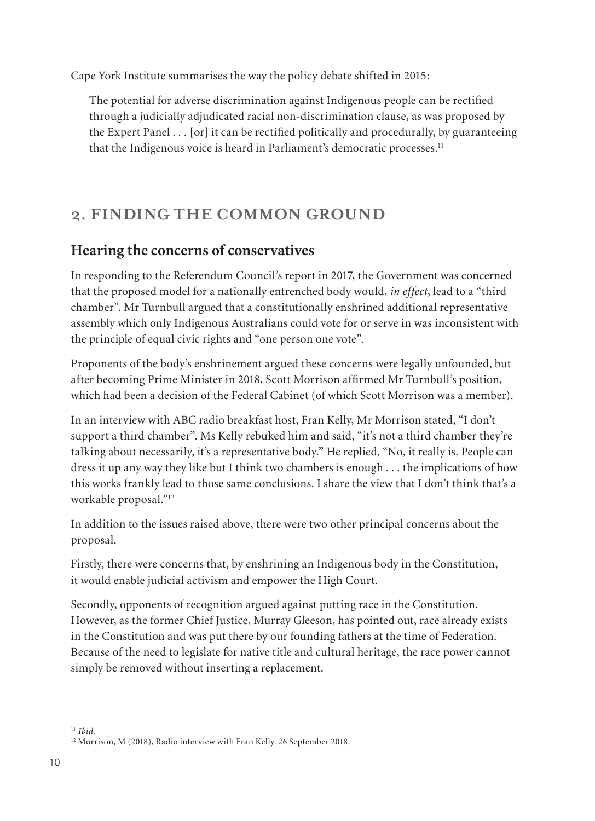Cape York Institute summarises the way the policy debate shifted in 2015:

The potential for adverse discrimination against Indigenous people can be rectified through a judicially adjudicated racial non-discrimination clause, as was proposed by the Expert Panel  $\dots$  [or] it can be rectified politically and procedurally, by guaranteeing that the Indigenous voice is heard in Parliament's democratic processes.<sup>11</sup>

# **2. FINDING THE COMMON GROUND**

#### **Hearing the concerns of conservatives**

In responding to the Referendum Council's report in 2017, the Government was concerned that the proposed model for a nationally entrenched body would, *in effect*, lead to a "third chamber". Mr Turnbull argued that a constitutionally enshrined additional representative assembly which only Indigenous Australians could vote for or serve in was inconsistent with the principle of equal civic rights and "one person one vote".

Proponents of the body's enshrinement argued these concerns were legally unfounded, but after becoming Prime Minister in 2018, Scott Morrison affirmed Mr Turnbull's position, which had been a decision of the Federal Cabinet (of which Scott Morrison was a member).

In an interview with ABC radio breakfast host, Fran Kelly, Mr Morrison stated, "I don't support a third chamber". Ms Kelly rebuked him and said, "it's not a third chamber they're talking about necessarily, it's a representative body." He replied, "No, it really is. People can dress it up any way they like but I think two chambers is enough . . . the implications of how this works frankly lead to those same conclusions. I share the view that I don't think that's a workable proposal."12

In addition to the issues raised above, there were two other principal concerns about the proposal.

Firstly, there were concerns that, by enshrining an Indigenous body in the Constitution, it would enable judicial activism and empower the High Court.

Secondly, opponents of recognition argued against putting race in the Constitution. However, as the former Chief Justice, Murray Gleeson, has pointed out, race already exists in the Constitution and was put there by our founding fathers at the time of Federation. Because of the need to legislate for native title and cultural heritage, the race power cannot simply be removed without inserting a replacement.

<sup>11</sup>*Ibid.* 

<sup>&</sup>lt;sup>12</sup> Morrison, M (2018), Radio interview with Fran Kelly. 26 September 2018.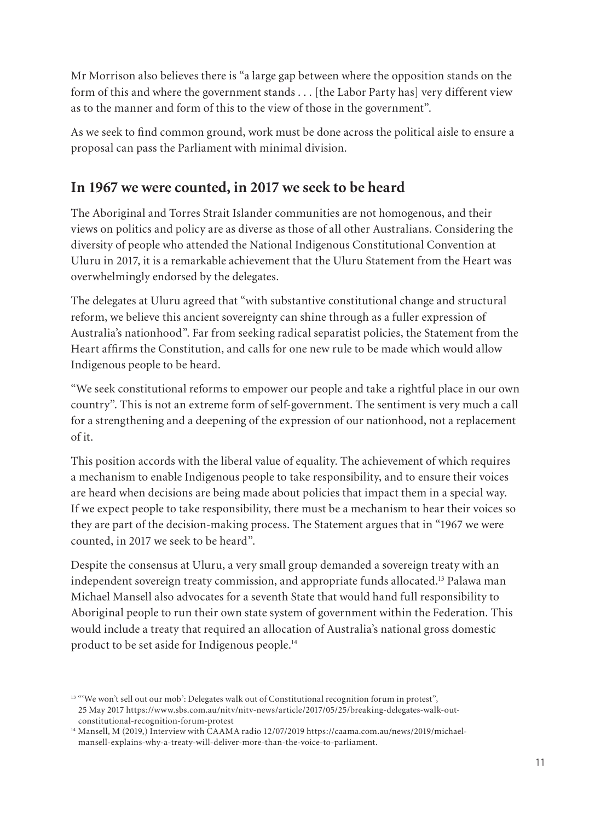Mr Morrison also believes there is "a large gap between where the opposition stands on the form of this and where the government stands . . . [the Labor Party has] very different view as to the manner and form of this to the view of those in the government".

As we seek to find common ground, work must be done across the political aisle to ensure a proposal can pass the Parliament with minimal division.

#### **In 1967 we were counted, in 2017 we seek to be heard**

The Aboriginal and Torres Strait Islander communities are not homogenous, and their views on politics and policy are as diverse as those of all other Australians. Considering the diversity of people who attended the National Indigenous Constitutional Convention at Uluru in 2017, it is a remarkable achievement that the Uluru Statement from the Heart was overwhelmingly endorsed by the delegates.

The delegates at Uluru agreed that "with substantive constitutional change and structural reform, we believe this ancient sovereignty can shine through as a fuller expression of Australia's nationhood". Far from seeking radical separatist policies, the Statement from the Heart affirms the Constitution, and calls for one new rule to be made which would allow Indigenous people to be heard.

"We seek constitutional reforms to empower our people and take a rightful place in our own country". This is not an extreme form of self-government. The sentiment is very much a call for a strengthening and a deepening of the expression of our nationhood, not a replacement of it.

This position accords with the liberal value of equality. The achievement of which requires a mechanism to enable Indigenous people to take responsibility, and to ensure their voices are heard when decisions are being made about policies that impact them in a special way. If we expect people to take responsibility, there must be a mechanism to hear their voices so they are part of the decision-making process. The Statement argues that in "1967 we were counted, in 2017 we seek to be heard".

Despite the consensus at Uluru, a very small group demanded a sovereign treaty with an independent sovereign treaty commission, and appropriate funds allocated.13 Palawa man Michael Mansell also advocates for a seventh State that would hand full responsibility to Aboriginal people to run their own state system of government within the Federation. This would include a treaty that required an allocation of Australia's national gross domestic product to be set aside for Indigenous people.14

<sup>&</sup>lt;sup>13 "</sup>We won't sell out our mob': Delegates walk out of Constitutional recognition forum in protest", 25 May 2017 https://www.sbs.com.au/nitv/nitv-news/article/2017/05/25/breaking-delegates-walk-outconstitutional-recognition-forum-protest

<sup>14</sup> Mansell, M (2019,) Interview with CAAMA radio 12/07/2019 https://caama.com.au/news/2019/michaelmansell-explains-why-a-treaty-will-deliver-more-than-the-voice-to-parliament.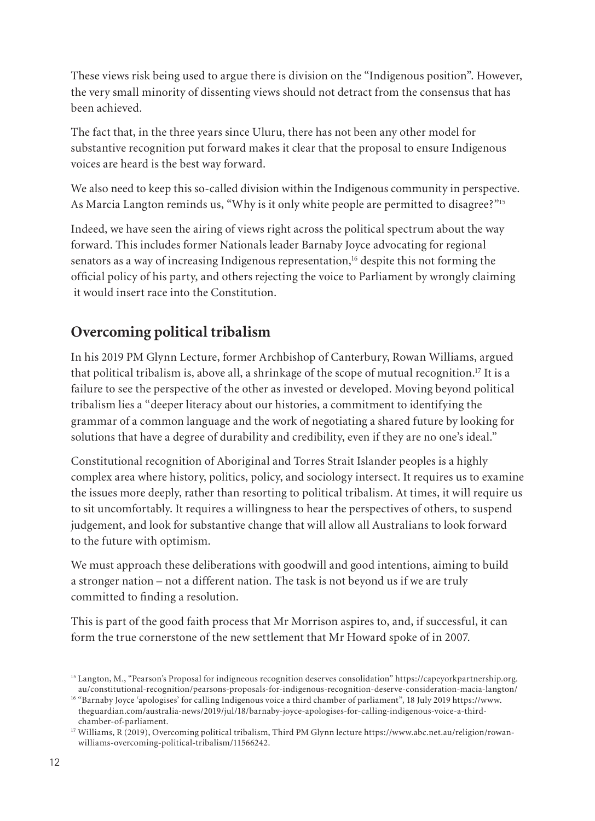These views risk being used to argue there is division on the "Indigenous position". However, the very small minority of dissenting views should not detract from the consensus that has been achieved.

The fact that, in the three years since Uluru, there has not been any other model for substantive recognition put forward makes it clear that the proposal to ensure Indigenous voices are heard is the best way forward.

We also need to keep this so-called division within the Indigenous community in perspective. As Marcia Langton reminds us, "Why is it only white people are permitted to disagree?"15

Indeed, we have seen the airing of views right across the political spectrum about the way forward. This includes former Nationals leader Barnaby Joyce advocating for regional senators as a way of increasing Indigenous representation,<sup>16</sup> despite this not forming the official policy of his party, and others rejecting the voice to Parliament by wrongly claiming it would insert race into the Constitution.

# **Overcoming political tribalism**

In his 2019 PM Glynn Lecture, former Archbishop of Canterbury, Rowan Williams, argued that political tribalism is, above all, a shrinkage of the scope of mutual recognition.<sup>17</sup> It is a failure to see the perspective of the other as invested or developed. Moving beyond political tribalism lies a "deeper literacy about our histories, a commitment to identifying the grammar of a common language and the work of negotiating a shared future by looking for solutions that have a degree of durability and credibility, even if they are no one's ideal."

Constitutional recognition of Aboriginal and Torres Strait Islander peoples is a highly complex area where history, politics, policy, and sociology intersect. It requires us to examine the issues more deeply, rather than resorting to political tribalism. At times, it will require us to sit uncomfortably. It requires a willingness to hear the perspectives of others, to suspend judgement, and look for substantive change that will allow all Australians to look forward to the future with optimism.

We must approach these deliberations with goodwill and good intentions, aiming to build a stronger nation – not a different nation. The task is not beyond us if we are truly committed to finding a resolution.

This is part of the good faith process that Mr Morrison aspires to, and, if successful, it can form the true cornerstone of the new settlement that Mr Howard spoke of in 2007.

<sup>15</sup> Langton, M., "Pearson's Proposal for indigneous recognition deserves consolidation" https://capeyorkpartnership.org. au/constitutional-recognition/pearsons-proposals-for-indigenous-recognition-deserve-consideration-macia-langton/

<sup>16 &</sup>quot;Barnaby Joyce 'apologises' for calling Indigenous voice a third chamber of parliament", 18 July 2019 https://www. theguardian.com/australia-news/2019/jul/18/barnaby-joyce-apologises-for-calling-indigenous-voice-a-thirdchamber-of-parliament.

<sup>17</sup> Williams, R (2019), Overcoming political tribalism, Third PM Glynn lecture https://www.abc.net.au/religion/rowanwilliams-overcoming-political-tribalism/11566242.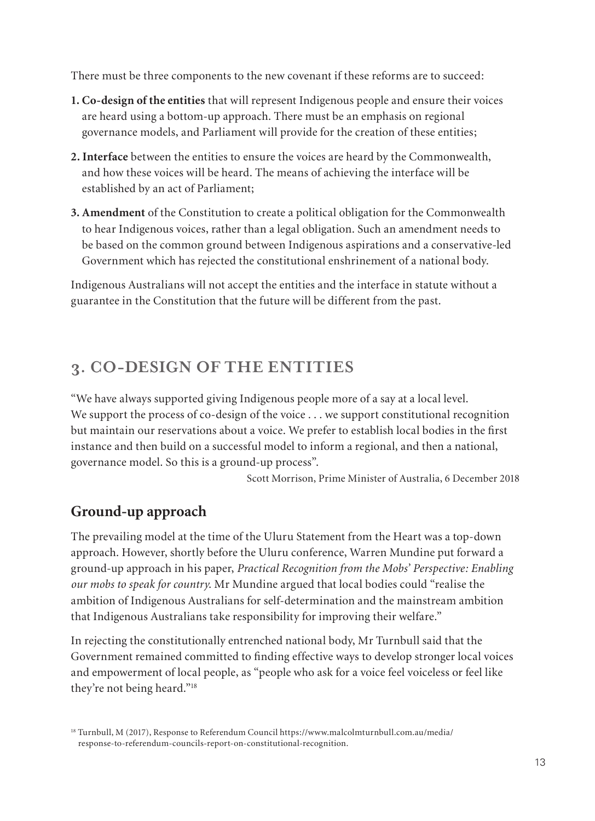There must be three components to the new covenant if these reforms are to succeed:

- **1. Co-design of the entities** that will represent Indigenous people and ensure their voices are heard using a bottom-up approach. There must be an emphasis on regional governance models, and Parliament will provide for the creation of these entities;
- **2. Interface** between the entities to ensure the voices are heard by the Commonwealth, and how these voices will be heard. The means of achieving the interface will be established by an act of Parliament;
- **3. Amendment** of the Constitution to create a political obligation for the Commonwealth to hear Indigenous voices, rather than a legal obligation. Such an amendment needs to be based on the common ground between Indigenous aspirations and a conservative-led Government which has rejected the constitutional enshrinement of a national body.

Indigenous Australians will not accept the entities and the interface in statute without a guarantee in the Constitution that the future will be different from the past.

# **3. CO-DESIGN OF THE ENTITIES**

"We have always supported giving Indigenous people more of a say at a local level. We support the process of co-design of the voice . . . we support constitutional recognition but maintain our reservations about a voice. We prefer to establish local bodies in the first instance and then build on a successful model to inform a regional, and then a national, governance model. So this is a ground-up process".

Scott Morrison, Prime Minister of Australia, 6 December 2018

# **Ground-up approach**

The prevailing model at the time of the Uluru Statement from the Heart was a top-down approach. However, shortly before the Uluru conference, Warren Mundine put forward a ground-up approach in his paper, *Practical Recognition from the Mobs' Perspective: Enabling our mobs to speak for country*. Mr Mundine argued that local bodies could "realise the ambition of Indigenous Australians for self-determination and the mainstream ambition that Indigenous Australians take responsibility for improving their welfare."

In rejecting the constitutionally entrenched national body, Mr Turnbull said that the Government remained committed to finding effective ways to develop stronger local voices and empowerment of local people, as "people who ask for a voice feel voiceless or feel like they're not being heard."18

<sup>18</sup> Turnbull, M (2017), Response to Referendum Council https://www.malcolmturnbull.com.au/media/ response-to-referendum-councils-report-on-constitutional-recognition.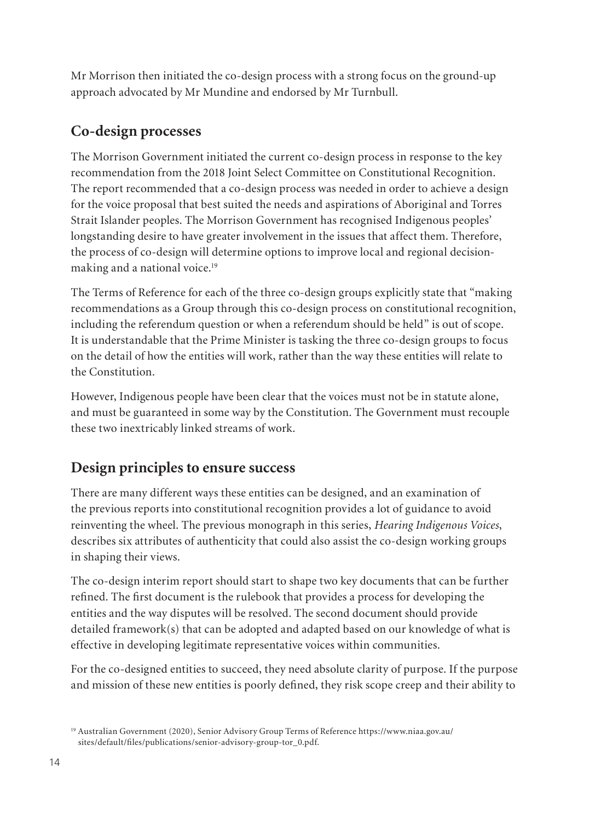Mr Morrison then initiated the co-design process with a strong focus on the ground-up approach advocated by Mr Mundine and endorsed by Mr Turnbull.

# **Co-design processes**

The Morrison Government initiated the current co-design process in response to the key recommendation from the 2018 Joint Select Committee on Constitutional Recognition. The report recommended that a co-design process was needed in order to achieve a design for the voice proposal that best suited the needs and aspirations of Aboriginal and Torres Strait Islander peoples. The Morrison Government has recognised Indigenous peoples' longstanding desire to have greater involvement in the issues that affect them. Therefore, the process of co-design will determine options to improve local and regional decisionmaking and a national voice.<sup>19</sup>

The Terms of Reference for each of the three co-design groups explicitly state that "making recommendations as a Group through this co-design process on constitutional recognition, including the referendum question or when a referendum should be held" is out of scope. It is understandable that the Prime Minister is tasking the three co-design groups to focus on the detail of how the entities will work, rather than the way these entities will relate to the Constitution.

However, Indigenous people have been clear that the voices must not be in statute alone, and must be guaranteed in some way by the Constitution. The Government must recouple these two inextricably linked streams of work.

# **Design principles to ensure success**

There are many different ways these entities can be designed, and an examination of the previous reports into constitutional recognition provides a lot of guidance to avoid reinventing the wheel. The previous monograph in this series, *Hearing Indigenous Voices*, describes six attributes of authenticity that could also assist the co-design working groups in shaping their views.

The co-design interim report should start to shape two key documents that can be further refined. The first document is the rulebook that provides a process for developing the entities and the way disputes will be resolved. The second document should provide detailed framework(s) that can be adopted and adapted based on our knowledge of what is effective in developing legitimate representative voices within communities.

For the co-designed entities to succeed, they need absolute clarity of purpose. If the purpose and mission of these new entities is poorly defined, they risk scope creep and their ability to

<sup>19</sup> Australian Government (2020), Senior Advisory Group Terms of Reference https://www.niaa.gov.au/ sites/default/files/publications/senior-advisory-group-tor\_0.pdf.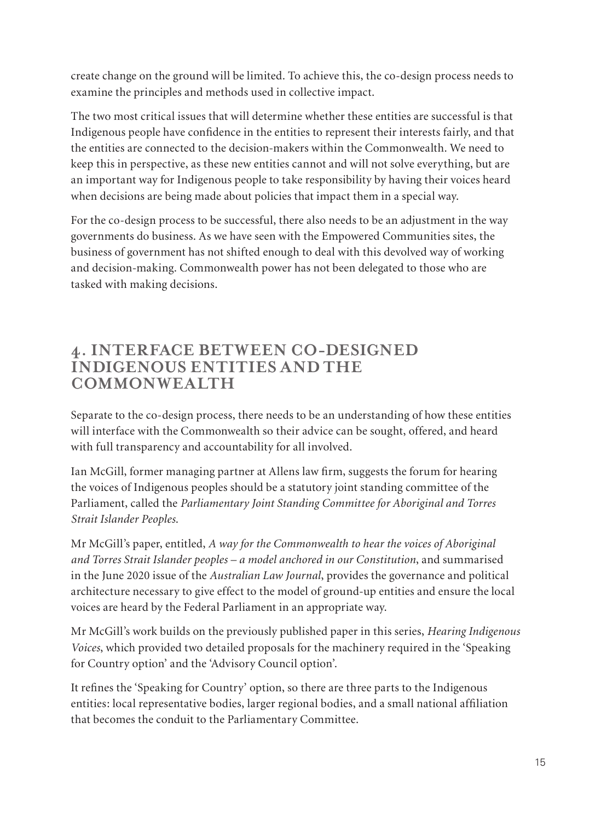create change on the ground will be limited. To achieve this, the co-design process needs to examine the principles and methods used in collective impact.

The two most critical issues that will determine whether these entities are successful is that Indigenous people have confidence in the entities to represent their interests fairly, and that the entities are connected to the decision-makers within the Commonwealth. We need to keep this in perspective, as these new entities cannot and will not solve everything, but are an important way for Indigenous people to take responsibility by having their voices heard when decisions are being made about policies that impact them in a special way.

For the co-design process to be successful, there also needs to be an adjustment in the way governments do business. As we have seen with the Empowered Communities sites, the business of government has not shifted enough to deal with this devolved way of working and decision-making. Commonwealth power has not been delegated to those who are tasked with making decisions.

#### **4. INTERFACE BETWEEN CO-DESIGNED INDIGENOUS ENTITIES AND THE COMMONWEALTH**

Separate to the co-design process, there needs to be an understanding of how these entities will interface with the Commonwealth so their advice can be sought, offered, and heard with full transparency and accountability for all involved.

Ian McGill, former managing partner at Allens law firm, suggests the forum for hearing the voices of Indigenous peoples should be a statutory joint standing committee of the Parliament, called the *Parliamentary Joint Standing Committee for Aboriginal and Torres Strait Islander Peoples*.

Mr McGill's paper, entitled, *A way for the Commonwealth to hear the voices of Aboriginal and Torres Strait Islander peoples – a model anchored in our Constitution*, and summarised in the June 2020 issue of the *Australian Law Journal*, provides the governance and political architecture necessary to give effect to the model of ground-up entities and ensure the local voices are heard by the Federal Parliament in an appropriate way.

Mr McGill's work builds on the previously published paper in this series, *Hearing Indigenous Voices*, which provided two detailed proposals for the machinery required in the 'Speaking for Country option' and the 'Advisory Council option'.

It refines the 'Speaking for Country' option, so there are three parts to the Indigenous entities: local representative bodies, larger regional bodies, and a small national affiliation that becomes the conduit to the Parliamentary Committee.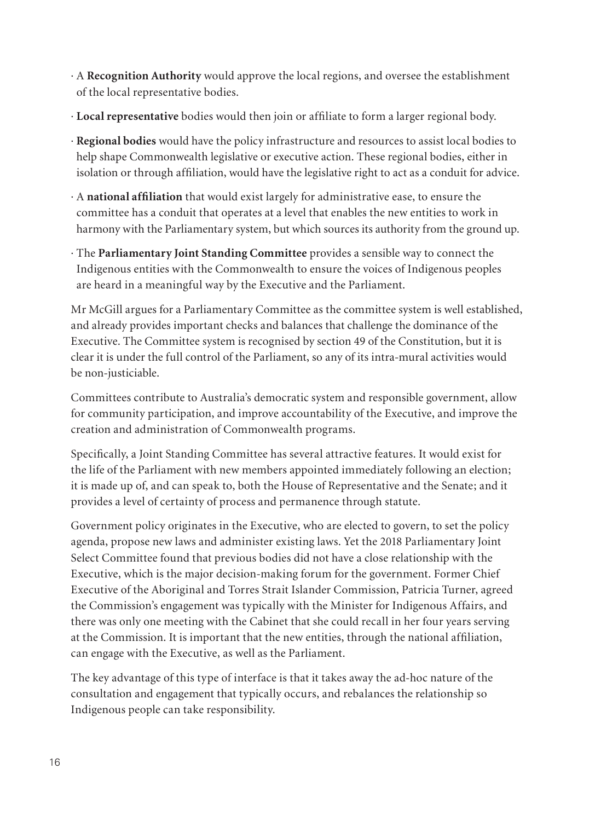- · A **Recognition Authority** would approve the local regions, and oversee the establishment of the local representative bodies.
- · **Local representative** bodies would then join or affiliate to form a larger regional body.
- · **Regional bodies** would have the policy infrastructure and resources to assist local bodies to help shape Commonwealth legislative or executive action. These regional bodies, either in isolation or through affiliation, would have the legislative right to act as a conduit for advice.
- · A **national affiliation** that would exist largely for administrative ease, to ensure the committee has a conduit that operates at a level that enables the new entities to work in harmony with the Parliamentary system, but which sources its authority from the ground up.
- · The **Parliamentary Joint Standing Committee** provides a sensible way to connect the Indigenous entities with the Commonwealth to ensure the voices of Indigenous peoples are heard in a meaningful way by the Executive and the Parliament.

Mr McGill argues for a Parliamentary Committee as the committee system is well established, and already provides important checks and balances that challenge the dominance of the Executive. The Committee system is recognised by section 49 of the Constitution, but it is clear it is under the full control of the Parliament, so any of its intra-mural activities would be non-justiciable.

Committees contribute to Australia's democratic system and responsible government, allow for community participation, and improve accountability of the Executive, and improve the creation and administration of Commonwealth programs.

Specifically, a Joint Standing Committee has several attractive features. It would exist for the life of the Parliament with new members appointed immediately following an election; it is made up of, and can speak to, both the House of Representative and the Senate; and it provides a level of certainty of process and permanence through statute.

Government policy originates in the Executive, who are elected to govern, to set the policy agenda, propose new laws and administer existing laws. Yet the 2018 Parliamentary Joint Select Committee found that previous bodies did not have a close relationship with the Executive, which is the major decision-making forum for the government. Former Chief Executive of the Aboriginal and Torres Strait Islander Commission, Patricia Turner, agreed the Commission's engagement was typically with the Minister for Indigenous Affairs, and there was only one meeting with the Cabinet that she could recall in her four years serving at the Commission. It is important that the new entities, through the national affiliation, can engage with the Executive, as well as the Parliament.

The key advantage of this type of interface is that it takes away the ad-hoc nature of the consultation and engagement that typically occurs, and rebalances the relationship so Indigenous people can take responsibility.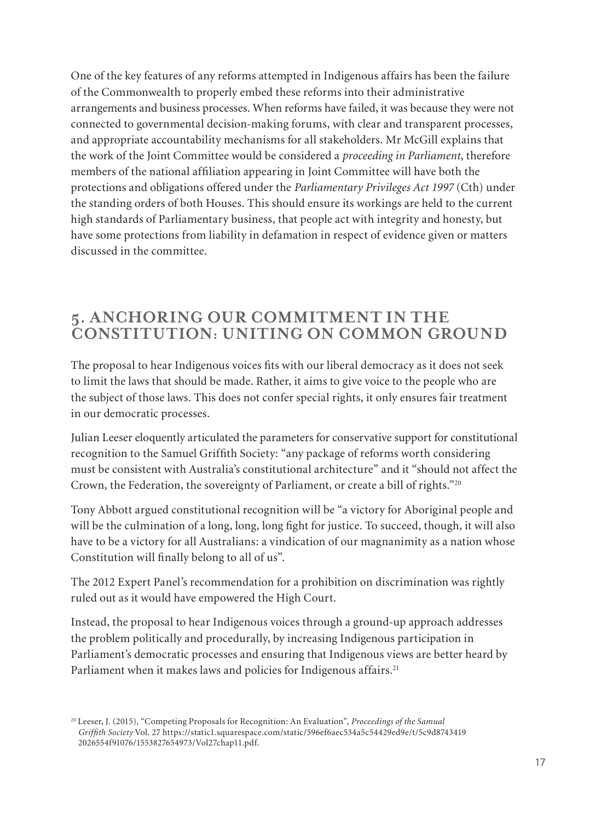One of the key features of any reforms attempted in Indigenous affairs has been the failure of the Commonwealth to properly embed these reforms into their administrative arrangements and business processes. When reforms have failed, it was because they were not connected to governmental decision-making forums, with clear and transparent processes, and appropriate accountability mechanisms for all stakeholders. Mr McGill explains that the work of the Joint Committee would be considered a *proceeding in Parliament*, therefore members of the national affiliation appearing in Joint Committee will have both the protections and obligations offered under the *Parliamentary Privileges Act 1997* (Cth) under the standing orders of both Houses. This should ensure its workings are held to the current high standards of Parliamentary business, that people act with integrity and honesty, but have some protections from liability in defamation in respect of evidence given or matters discussed in the committee.

### **5. ANCHORING OUR COMMITMENT IN THE CONSTITUTION: UNITING ON COMMON GROUND**

The proposal to hear Indigenous voices fits with our liberal democracy as it does not seek to limit the laws that should be made. Rather, it aims to give voice to the people who are the subject of those laws. This does not confer special rights, it only ensures fair treatment in our democratic processes.

Julian Leeser eloquently articulated the parameters for conservative support for constitutional recognition to the Samuel Griffith Society: "any package of reforms worth considering must be consistent with Australia's constitutional architecture" and it "should not affect the Crown, the Federation, the sovereignty of Parliament, or create a bill of rights."20

Tony Abbott argued constitutional recognition will be "a victory for Aboriginal people and will be the culmination of a long, long, long fight for justice. To succeed, though, it will also have to be a victory for all Australians: a vindication of our magnanimity as a nation whose Constitution will finally belong to all of us".

The 2012 Expert Panel's recommendation for a prohibition on discrimination was rightly ruled out as it would have empowered the High Court.

Instead, the proposal to hear Indigenous voices through a ground-up approach addresses the problem politically and procedurally, by increasing Indigenous participation in Parliament's democratic processes and ensuring that Indigenous views are better heard by Parliament when it makes laws and policies for Indigenous affairs.<sup>21</sup>

<sup>20</sup> Leeser, J. (2015), "Competing Proposals for Recognition: An Evaluation", *Proceedings of the Samual Griffith Society* Vol. 27 https://static1.squarespace.com/static/596ef6aec534a5c54429ed9e/t/5c9d8743419 2026554f91076/1553827654973/Vol27chap11.pdf.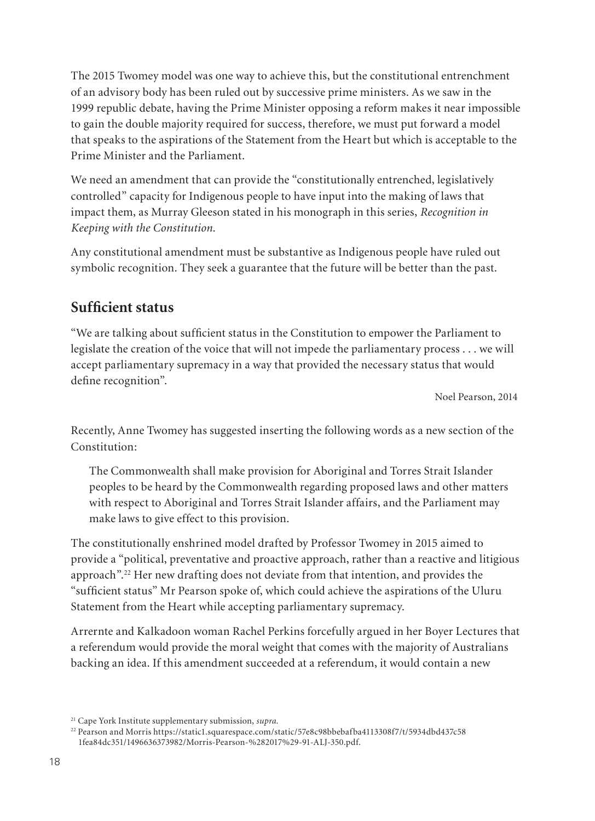The 2015 Twomey model was one way to achieve this, but the constitutional entrenchment of an advisory body has been ruled out by successive prime ministers. As we saw in the 1999 republic debate, having the Prime Minister opposing a reform makes it near impossible to gain the double majority required for success, therefore, we must put forward a model that speaks to the aspirations of the Statement from the Heart but which is acceptable to the Prime Minister and the Parliament.

We need an amendment that can provide the "constitutionally entrenched, legislatively controlled" capacity for Indigenous people to have input into the making of laws that impact them, as Murray Gleeson stated in his monograph in this series, *Recognition in Keeping with the Constitution*.

Any constitutional amendment must be substantive as Indigenous people have ruled out symbolic recognition. They seek a guarantee that the future will be better than the past.

#### **Sufficient status**

"We are talking about sufficient status in the Constitution to empower the Parliament to legislate the creation of the voice that will not impede the parliamentary process . . . we will accept parliamentary supremacy in a way that provided the necessary status that would define recognition".

Noel Pearson, 2014

Recently, Anne Twomey has suggested inserting the following words as a new section of the Constitution:

The Commonwealth shall make provision for Aboriginal and Torres Strait Islander peoples to be heard by the Commonwealth regarding proposed laws and other matters with respect to Aboriginal and Torres Strait Islander affairs, and the Parliament may make laws to give effect to this provision.

The constitutionally enshrined model drafted by Professor Twomey in 2015 aimed to provide a "political, preventative and proactive approach, rather than a reactive and litigious approach".22 Her new drafting does not deviate from that intention, and provides the "sufficient status" Mr Pearson spoke of, which could achieve the aspirations of the Uluru Statement from the Heart while accepting parliamentary supremacy.

Arrernte and Kalkadoon woman Rachel Perkins forcefully argued in her Boyer Lectures that a referendum would provide the moral weight that comes with the majority of Australians backing an idea. If this amendment succeeded at a referendum, it would contain a new

<sup>&</sup>lt;sup>21</sup> Cape York Institute supplementary submission, *supra*.<br><sup>22</sup> Pearson and Morris https://static1.squarespace.com/static/57e8c98bbebafba4113308f7/t/5934dbd437c58 1fea84dc351/1496636373982/Morris-Pearson-%282017%29-91-ALJ-350.pdf.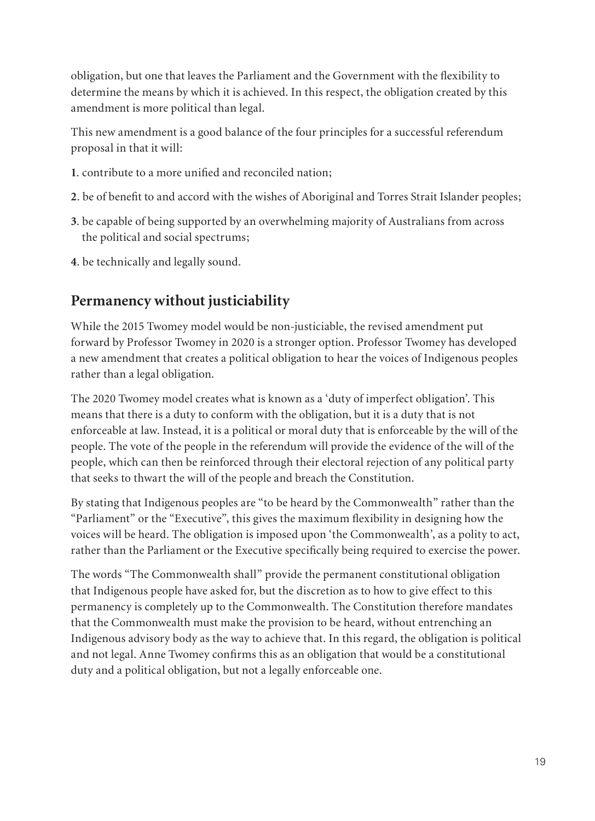obligation, but one that leaves the Parliament and the Government with the flexibility to determine the means by which it is achieved. In this respect, the obligation created by this amendment is more political than legal.

This new amendment is a good balance of the four principles for a successful referendum proposal in that it will:

- **1**. contribute to a more unified and reconciled nation;
- **2**. be of benefit to and accord with the wishes of Aboriginal and Torres Strait Islander peoples;
- **3**. be capable of being supported by an overwhelming majority of Australians from across the political and social spectrums;
- **4**. be technically and legally sound.

# **Permanency without justiciability**

While the 2015 Twomey model would be non-justiciable, the revised amendment put forward by Professor Twomey in 2020 is a stronger option. Professor Twomey has developed a new amendment that creates a political obligation to hear the voices of Indigenous peoples rather than a legal obligation.

The 2020 Twomey model creates what is known as a 'duty of imperfect obligation'. This means that there is a duty to conform with the obligation, but it is a duty that is not enforceable at law. Instead, it is a political or moral duty that is enforceable by the will of the people. The vote of the people in the referendum will provide the evidence of the will of the people, which can then be reinforced through their electoral rejection of any political party that seeks to thwart the will of the people and breach the Constitution.

By stating that Indigenous peoples are "to be heard by the Commonwealth" rather than the "Parliament" or the "Executive", this gives the maximum flexibility in designing how the voices will be heard. The obligation is imposed upon 'the Commonwealth', as a polity to act, rather than the Parliament or the Executive specifically being required to exercise the power.

The words "The Commonwealth shall" provide the permanent constitutional obligation that Indigenous people have asked for, but the discretion as to how to give effect to this permanency is completely up to the Commonwealth. The Constitution therefore mandates that the Commonwealth must make the provision to be heard, without entrenching an Indigenous advisory body as the way to achieve that. In this regard, the obligation is political and not legal. Anne Twomey confirms this as an obligation that would be a constitutional duty and a political obligation, but not a legally enforceable one.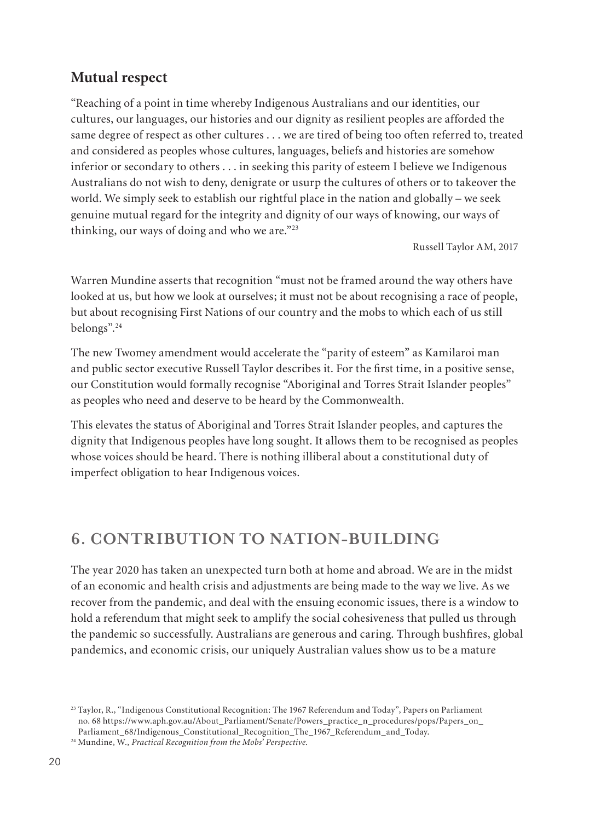#### **Mutual respect**

"Reaching of a point in time whereby Indigenous Australians and our identities, our cultures, our languages, our histories and our dignity as resilient peoples are afforded the same degree of respect as other cultures . . . we are tired of being too often referred to, treated and considered as peoples whose cultures, languages, beliefs and histories are somehow inferior or secondary to others . . . in seeking this parity of esteem I believe we Indigenous Australians do not wish to deny, denigrate or usurp the cultures of others or to takeover the world. We simply seek to establish our rightful place in the nation and globally – we seek genuine mutual regard for the integrity and dignity of our ways of knowing, our ways of thinking, our ways of doing and who we are."23

Russell Taylor AM, 2017

Warren Mundine asserts that recognition "must not be framed around the way others have looked at us, but how we look at ourselves; it must not be about recognising a race of people, but about recognising First Nations of our country and the mobs to which each of us still belongs".24

The new Twomey amendment would accelerate the "parity of esteem" as Kamilaroi man and public sector executive Russell Taylor describes it. For the first time, in a positive sense, our Constitution would formally recognise "Aboriginal and Torres Strait Islander peoples" as peoples who need and deserve to be heard by the Commonwealth.

This elevates the status of Aboriginal and Torres Strait Islander peoples, and captures the dignity that Indigenous peoples have long sought. It allows them to be recognised as peoples whose voices should be heard. There is nothing illiberal about a constitutional duty of imperfect obligation to hear Indigenous voices.

# **6. CONTRIBUTION TO NATION-BUILDING**

The year 2020 has taken an unexpected turn both at home and abroad. We are in the midst of an economic and health crisis and adjustments are being made to the way we live. As we recover from the pandemic, and deal with the ensuing economic issues, there is a window to hold a referendum that might seek to amplify the social cohesiveness that pulled us through the pandemic so successfully. Australians are generous and caring. Through bushfires, global pandemics, and economic crisis, our uniquely Australian values show us to be a mature

<sup>23</sup> Taylor, R., "Indigenous Constitutional Recognition: The 1967 Referendum and Today", Papers on Parliament no. 68 https://www.aph.gov.au/About\_Parliament/Senate/Powers\_practice\_n\_procedures/pops/Papers\_on\_ Parliament 68/Indigenous Constitutional Recognition The 1967 Referendum and Today.

<sup>24</sup> Mundine, W., *Practical Recognition from the Mobs' Perspective*.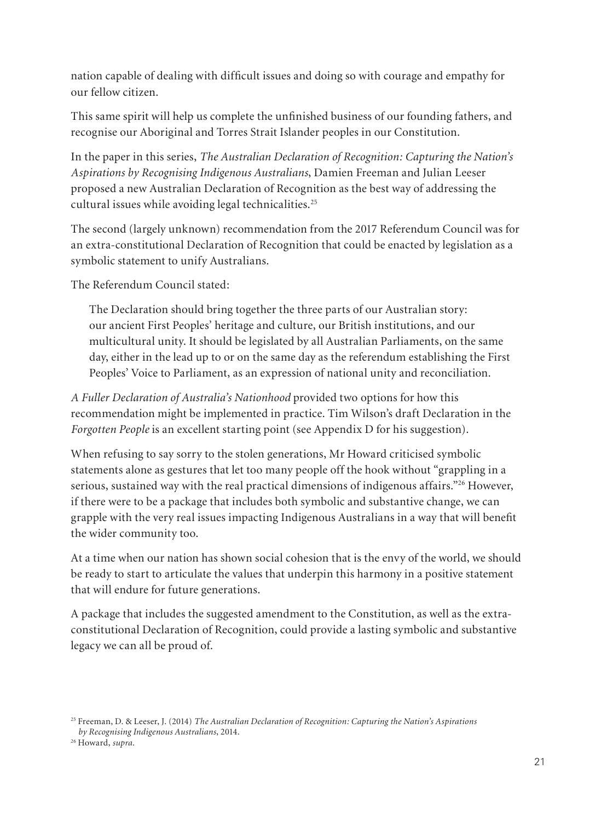nation capable of dealing with difficult issues and doing so with courage and empathy for our fellow citizen.

This same spirit will help us complete the unfinished business of our founding fathers, and recognise our Aboriginal and Torres Strait Islander peoples in our Constitution.

In the paper in this series, *The Australian Declaration of Recognition: Capturing the Nation's Aspirations by Recognising Indigenous Australians*, Damien Freeman and Julian Leeser proposed a new Australian Declaration of Recognition as the best way of addressing the cultural issues while avoiding legal technicalities.25

The second (largely unknown) recommendation from the 2017 Referendum Council was for an extra-constitutional Declaration of Recognition that could be enacted by legislation as a symbolic statement to unify Australians.

The Referendum Council stated:

The Declaration should bring together the three parts of our Australian story: our ancient First Peoples' heritage and culture, our British institutions, and our multicultural unity. It should be legislated by all Australian Parliaments, on the same day, either in the lead up to or on the same day as the referendum establishing the First Peoples' Voice to Parliament, as an expression of national unity and reconciliation.

*A Fuller Declaration of Australia's Nationhood* provided two options for how this recommendation might be implemented in practice. Tim Wilson's draft Declaration in the *Forgotten People* is an excellent starting point (see Appendix D for his suggestion).

When refusing to say sorry to the stolen generations, Mr Howard criticised symbolic statements alone as gestures that let too many people off the hook without "grappling in a serious, sustained way with the real practical dimensions of indigenous affairs."26 However, if there were to be a package that includes both symbolic and substantive change, we can grapple with the very real issues impacting Indigenous Australians in a way that will benefit the wider community too.

At a time when our nation has shown social cohesion that is the envy of the world, we should be ready to start to articulate the values that underpin this harmony in a positive statement that will endure for future generations.

A package that includes the suggested amendment to the Constitution, as well as the extraconstitutional Declaration of Recognition, could provide a lasting symbolic and substantive legacy we can all be proud of.

<sup>25</sup> Freeman, D. & Leeser, J. (2014) *The Australian Declaration of Recognition: Capturing the Nation's Aspirations* 

*by Recognising Indigenous Australians*, 2014. 26 Howard, *supra*.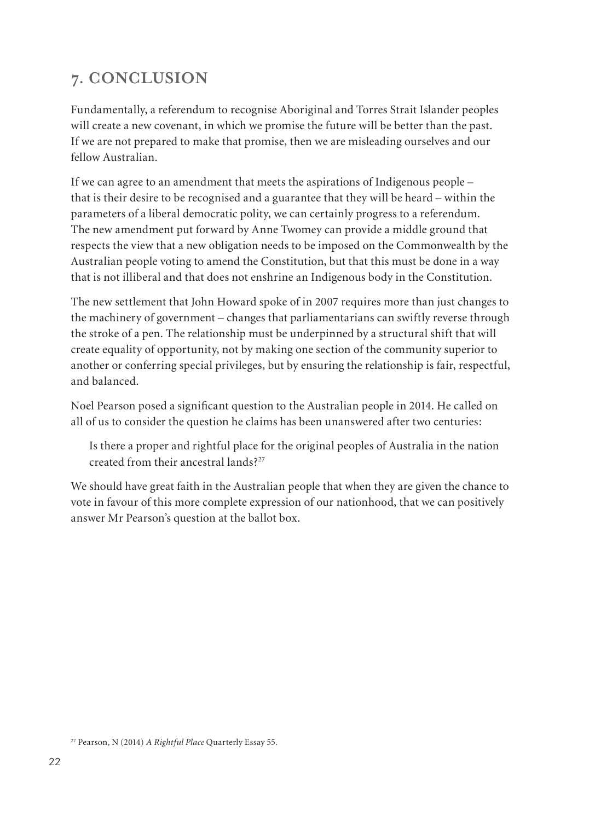# **7. CONCLUSION**

Fundamentally, a referendum to recognise Aboriginal and Torres Strait Islander peoples will create a new covenant, in which we promise the future will be better than the past. If we are not prepared to make that promise, then we are misleading ourselves and our fellow Australian.

If we can agree to an amendment that meets the aspirations of Indigenous people – that is their desire to be recognised and a guarantee that they will be heard – within the parameters of a liberal democratic polity, we can certainly progress to a referendum. The new amendment put forward by Anne Twomey can provide a middle ground that respects the view that a new obligation needs to be imposed on the Commonwealth by the Australian people voting to amend the Constitution, but that this must be done in a way that is not illiberal and that does not enshrine an Indigenous body in the Constitution.

The new settlement that John Howard spoke of in 2007 requires more than just changes to the machinery of government – changes that parliamentarians can swiftly reverse through the stroke of a pen. The relationship must be underpinned by a structural shift that will create equality of opportunity, not by making one section of the community superior to another or conferring special privileges, but by ensuring the relationship is fair, respectful, and balanced.

Noel Pearson posed a significant question to the Australian people in 2014. He called on all of us to consider the question he claims has been unanswered after two centuries:

Is there a proper and rightful place for the original peoples of Australia in the nation created from their ancestral lands?27

We should have great faith in the Australian people that when they are given the chance to vote in favour of this more complete expression of our nationhood, that we can positively answer Mr Pearson's question at the ballot box.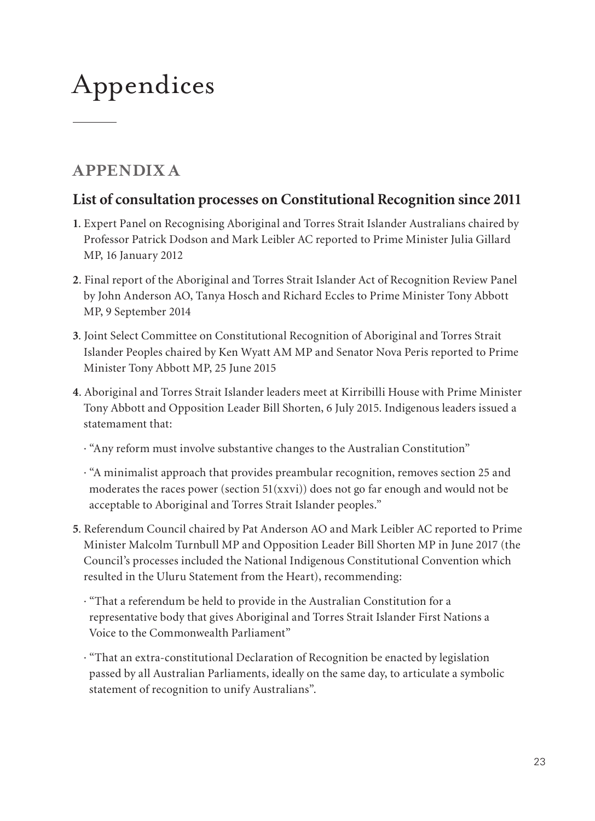# Appendices

# **APPENDIX A**

#### **List of consultation processes on Constitutional Recognition since 2011**

- **1**. Expert Panel on Recognising Aboriginal and Torres Strait Islander Australians chaired by Professor Patrick Dodson and Mark Leibler AC reported to Prime Minister Julia Gillard MP, 16 January 2012
- **2**. Final report of the Aboriginal and Torres Strait Islander Act of Recognition Review Panel by John Anderson AO, Tanya Hosch and Richard Eccles to Prime Minister Tony Abbott MP, 9 September 2014
- **3**. Joint Select Committee on Constitutional Recognition of Aboriginal and Torres Strait Islander Peoples chaired by Ken Wyatt AM MP and Senator Nova Peris reported to Prime Minister Tony Abbott MP, 25 June 2015
- **4**. Aboriginal and Torres Strait Islander leaders meet at Kirribilli House with Prime Minister Tony Abbott and Opposition Leader Bill Shorten, 6 July 2015. Indigenous leaders issued a statemament that:
	- · "Any reform must involve substantive changes to the Australian Constitution"
	- · "A minimalist approach that provides preambular recognition, removes section 25 and moderates the races power (section 51(xxvi)) does not go far enough and would not be acceptable to Aboriginal and Torres Strait Islander peoples."
- **5**. Referendum Council chaired by Pat Anderson AO and Mark Leibler AC reported to Prime Minister Malcolm Turnbull MP and Opposition Leader Bill Shorten MP in June 2017 (the Council's processes included the National Indigenous Constitutional Convention which resulted in the Uluru Statement from the Heart), recommending:
	- · "That a referendum be held to provide in the Australian Constitution for a representative body that gives Aboriginal and Torres Strait Islander First Nations a Voice to the Commonwealth Parliament"
	- · "That an extra-constitutional Declaration of Recognition be enacted by legislation passed by all Australian Parliaments, ideally on the same day, to articulate a symbolic statement of recognition to unify Australians".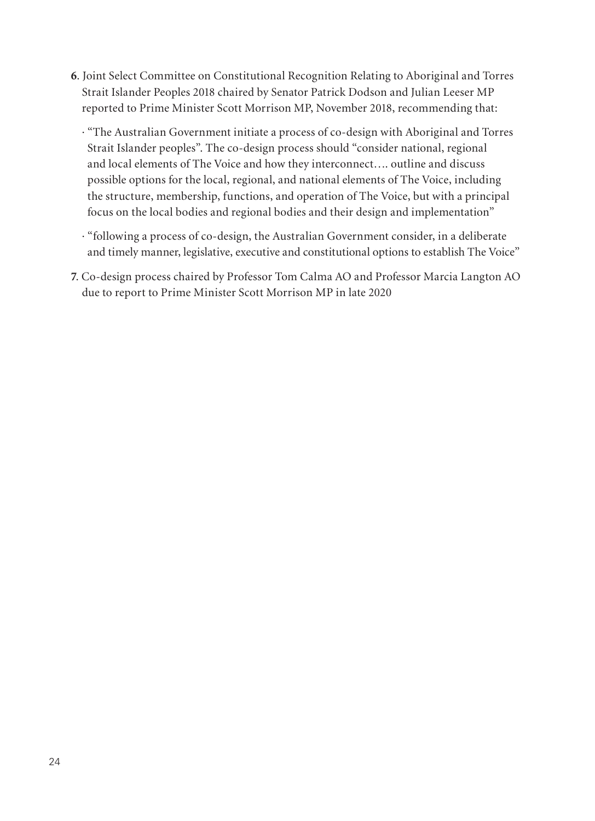- **6**. Joint Select Committee on Constitutional Recognition Relating to Aboriginal and Torres Strait Islander Peoples 2018 chaired by Senator Patrick Dodson and Julian Leeser MP reported to Prime Minister Scott Morrison MP, November 2018, recommending that:
	- · "The Australian Government initiate a process of co-design with Aboriginal and Torres Strait Islander peoples". The co-design process should "consider national, regional and local elements of The Voice and how they interconnect…. outline and discuss possible options for the local, regional, and national elements of The Voice, including the structure, membership, functions, and operation of The Voice, but with a principal focus on the local bodies and regional bodies and their design and implementation"
	- · "following a process of co-design, the Australian Government consider, in a deliberate and timely manner, legislative, executive and constitutional options to establish The Voice"
- **7**. Co-design process chaired by Professor Tom Calma AO and Professor Marcia Langton AO due to report to Prime Minister Scott Morrison MP in late 2020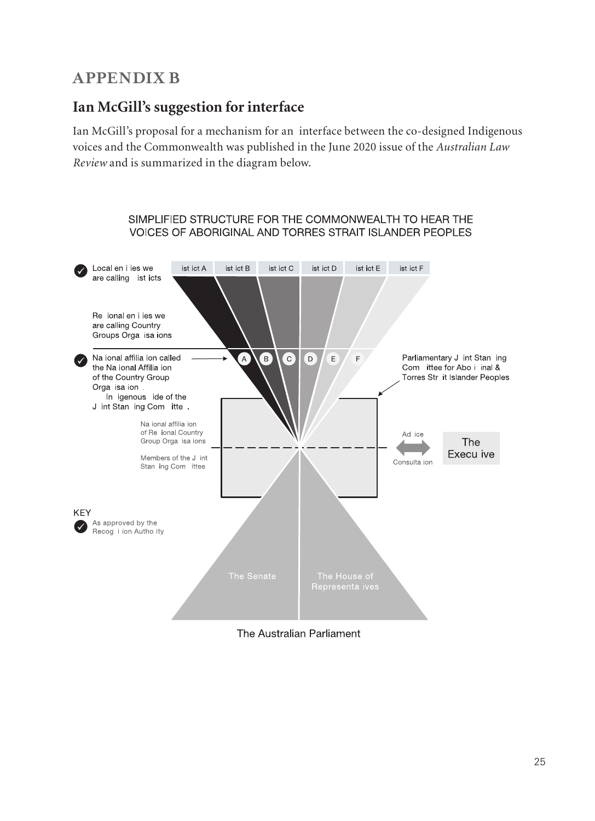# **APPENDIX B**

#### **Ian McGill's suggestion for interface**

Ian McGill's proposal for a mechanism for an interface between the co-designed Indigenous voices and the Commonwealth was published in the June 2020 issue of the *Australian Law Review* and is summarized in the diagram below.



The Australian Parliament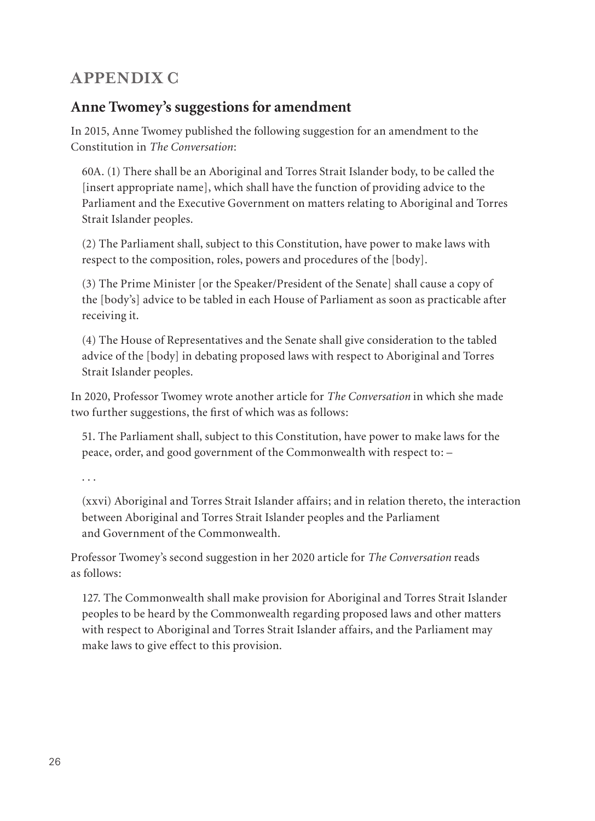# **APPENDIX C**

#### **Anne Twomey's suggestions for amendment**

In 2015, Anne Twomey published the following suggestion for an amendment to the Constitution in *The Conversation*:

60A. (1) There shall be an Aboriginal and Torres Strait Islander body, to be called the [insert appropriate name], which shall have the function of providing advice to the Parliament and the Executive Government on matters relating to Aboriginal and Torres Strait Islander peoples.

(2) The Parliament shall, subject to this Constitution, have power to make laws with respect to the composition, roles, powers and procedures of the [body].

(3) The Prime Minister [or the Speaker/President of the Senate] shall cause a copy of the [body's] advice to be tabled in each House of Parliament as soon as practicable after receiving it.

(4) The House of Representatives and the Senate shall give consideration to the tabled advice of the [body] in debating proposed laws with respect to Aboriginal and Torres Strait Islander peoples.

In 2020, Professor Twomey wrote another article for *The Conversation* in which she made two further suggestions, the first of which was as follows:

51. The Parliament shall, subject to this Constitution, have power to make laws for the peace, order, and good government of the Commonwealth with respect to: –

. . .

(xxvi) Aboriginal and Torres Strait Islander affairs; and in relation thereto, the interaction between Aboriginal and Torres Strait Islander peoples and the Parliament and Government of the Commonwealth.

Professor Twomey's second suggestion in her 2020 article for *The Conversation* reads as follows:

127. The Commonwealth shall make provision for Aboriginal and Torres Strait Islander peoples to be heard by the Commonwealth regarding proposed laws and other matters with respect to Aboriginal and Torres Strait Islander affairs, and the Parliament may make laws to give effect to this provision.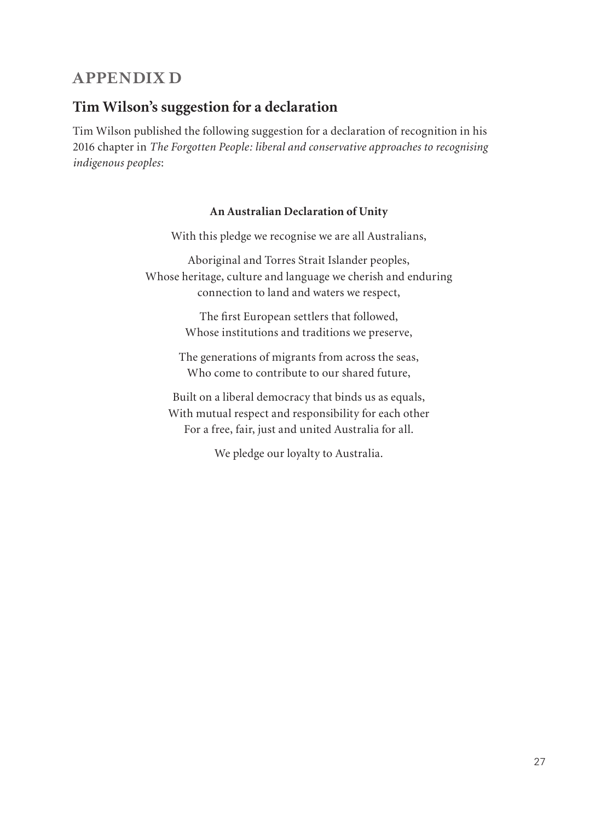# **APPENDIX D**

#### **Tim Wilson's suggestion for a declaration**

Tim Wilson published the following suggestion for a declaration of recognition in his 2016 chapter in *The Forgotten People: liberal and conservative approaches to recognising indigenous peoples*:

#### **An Australian Declaration of Unity**

With this pledge we recognise we are all Australians,

Aboriginal and Torres Strait Islander peoples, Whose heritage, culture and language we cherish and enduring connection to land and waters we respect,

> The first European settlers that followed, Whose institutions and traditions we preserve,

The generations of migrants from across the seas, Who come to contribute to our shared future,

Built on a liberal democracy that binds us as equals, With mutual respect and responsibility for each other For a free, fair, just and united Australia for all.

We pledge our loyalty to Australia.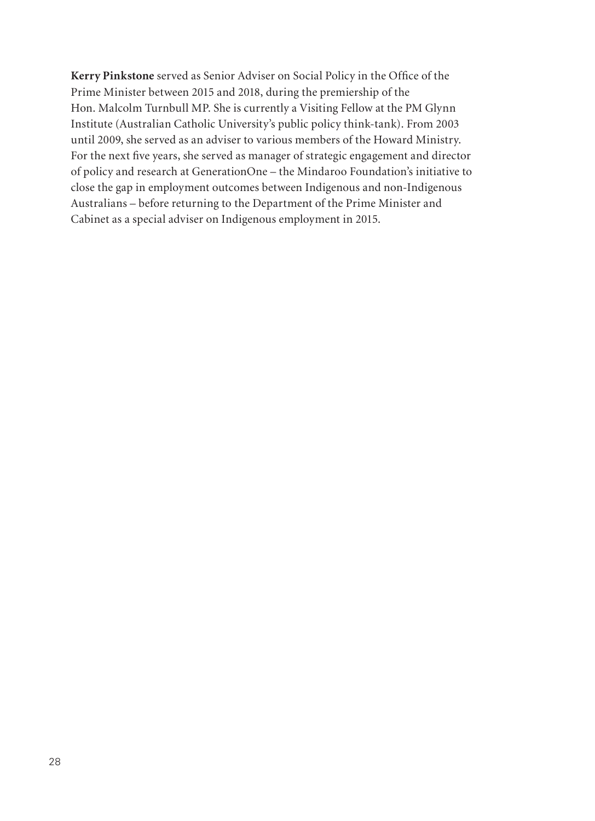**Kerry Pinkstone** served as Senior Adviser on Social Policy in the Office of the Prime Minister between 2015 and 2018, during the premiership of the Hon. Malcolm Turnbull MP. She is currently a Visiting Fellow at the PM Glynn Institute (Australian Catholic University's public policy think-tank). From 2003 until 2009, she served as an adviser to various members of the Howard Ministry. For the next five years, she served as manager of strategic engagement and director of policy and research at GenerationOne – the Mindaroo Foundation's initiative to close the gap in employment outcomes between Indigenous and non-Indigenous Australians – before returning to the Department of the Prime Minister and Cabinet as a special adviser on Indigenous employment in 2015.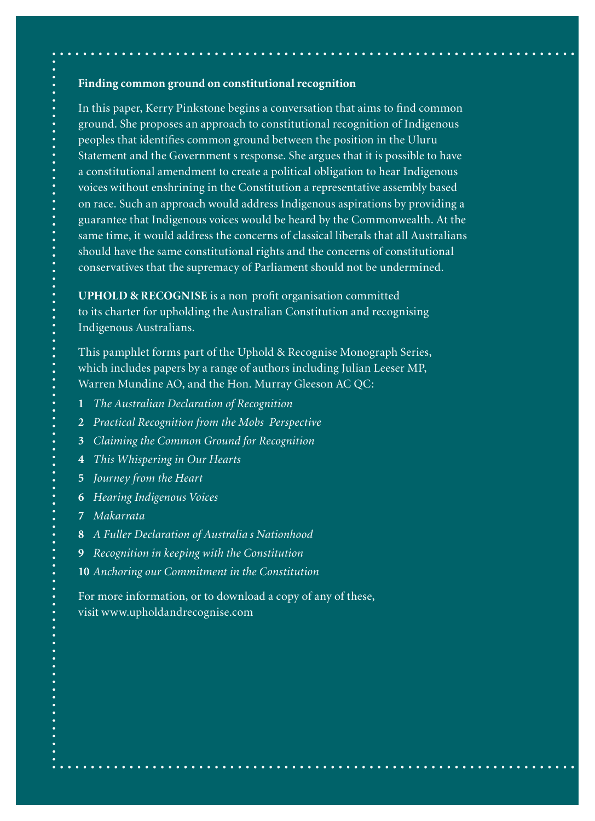#### **Finding common ground on constitutional recognition**

' Statement and the Government s response. She argues that it is possible to have In this paper, Kerry Pinkstone begins a conversation that aims to find common ground. She proposes an approach to constitutional recognition of Indigenous peoples that identifies common ground between the position in the Uluru a constitutional amendment to create a political obligation to hear Indigenous voices without enshrining in the Constitution a representative assembly based on race. Such an approach would address Indigenous aspirations by providing a guarantee that Indigenous voices would be heard by the Commonwealth. At the same time, it would address the concerns of classical liberals that all Australians should have the same constitutional rights and the concerns of constitutional conservatives that the supremacy of Parliament should not be undermined.

- **UPHOLD & RECOGNISE** is a non profit organisation committed to its charter for upholding the Australian Constitution and recognising Indigenous Australians.

This pamphlet forms part of the Uphold & Recognise Monograph Series, which includes papers by a range of authors including Julian Leeser MP, Warren Mundine AO, and the Hon. Murray Gleeson AC QC:

- **1** *The Australian Declaration of Recognition*
- *'* **2** *Practical Recognition from the Mobs Perspective*
- **3** *Claiming the Common Ground for Recognition*
- **4** *This Whispering in Our Hearts*
- **5** *Journey from the Heart*
- **6** *Hearing Indigenous Voices*
- **7** *Makarrata*
- *'* **8** *A Fuller Declaration of Australia s Nationhood*
- **9** *Recognition in keeping with the Constitution*
- **10** *Anchoring our Commitment in the Constitution*

For more information, or to download a copy of any of these, visit www.upholdandrecognise.com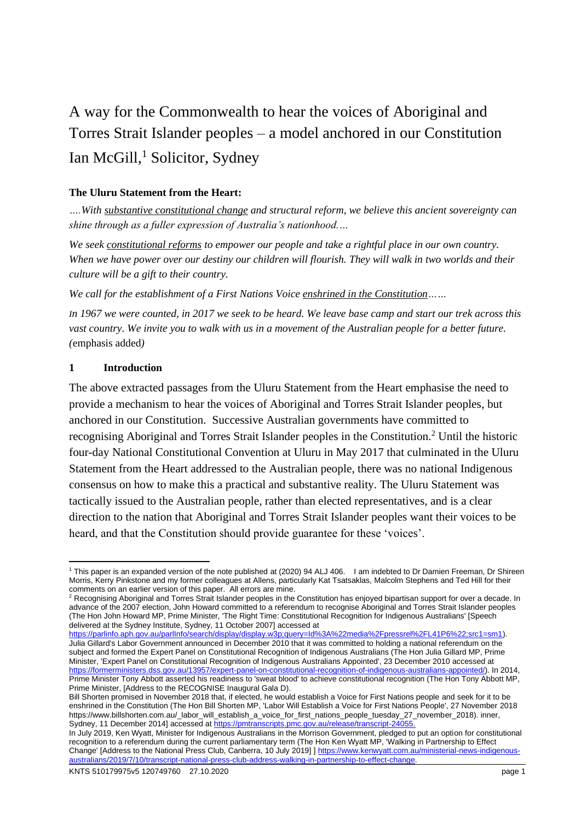# A way for the Commonwealth to hear the voices of Aboriginal and Torres Strait Islander peoples – a model anchored in our Constitution Ian McGill, 1 Solicitor, Sydney

#### **The Uluru Statement from the Heart:**

*….With substantive constitutional change and structural reform, we believe this ancient sovereignty can shine through as a fuller expression of Australia's nationhood.…* 

*We seek constitutional reforms to empower our people and take a rightful place in our own country. When we have power over our destiny our children will flourish. They will walk in two worlds and their culture will be a gift to their country.* 

*We call for the establishment of a First Nations Voice enshrined in the Constitution……* 

*In 1967 we were counted, in 2017 we seek to be heard. We leave base camp and start our trek across this vast country. We invite you to walk with us in a movement of the Australian people for a better future. (*emphasis added*)* 

#### **1 Introduction**

 anchored in our Constitution. Successive Australian governments have committed to The above extracted passages from the Uluru Statement from the Heart emphasise the need to provide a mechanism to hear the voices of Aboriginal and Torres Strait Islander peoples, but recognising Aboriginal and Torres Strait Islander peoples in the Constitution. 2 Until the historic four-day National Constitutional Convention at Uluru in May 2017 that culminated in the Uluru Statement from the Heart addressed to the Australian people, there was no national Indigenous consensus on how to make this a practical and substantive reality. The Uluru Statement was tactically issued to the Australian people, rather than elected representatives, and is a clear direction to the nation that Aboriginal and Torres Strait Islander peoples want their voices to be heard, and that the Constitution should provide guarantee for these 'voices'.

 advance of the 2007 election, John Howard committed to a referendum to recognise Aboriginal and Torres Strait Islander peoples (The Hon John Howard MP, Prime Minister, 'The Right Time: Constitutional Recognition for Indigenous Australians' [Speech delivered at the Sydney Institute, Sydney, 11 October 2007] accessed at <sup>2</sup> Recognising Aboriginal and Torres Strait Islander peoples in the Constitution has enjoyed bipartisan support for over a decade. In

 Julia Gillard's Labor Government announced in December 2010 that it was committed to holding a national referendum on the subject and formed the Expert Panel on Constitutional Recognition of Indigenous Australians (The Hon Julia Gillard MP, Prime Minister, 'Expert Panel on Constitutional Recognition of Indigenous Australians Appointed', 23 December 2010 accessed at [https://formerministers.dss.gov.au/13957/expert-panel-on-constitutional-recognition-of-indigenous-australians-appointed/\)](about:blank). In 2014, Prime Minister Tony Abbott asserted his readiness to 'sweat blood' to achieve constitutional recognition (The Hon Tony Abbott MP, Prime Minister, [Address to the RECOGNISE Inaugural Gala D). [https://parlinfo.aph.gov.au/parlInfo/search/display/display.w3p;query=Id%3A%22media%2Fpressrel%2FL41P6%22;src1=sm1\)](about:blank).

 1 This paper is an expanded version of the note published at (2020) 94 ALJ 406. I am indebted to Dr Damien Freeman, Dr Shireen Morris, Kerry Pinkstone and my former colleagues at Allens, particularly Kat Tsatsaklas, Malcolm Stephens and Ted Hill for their comments on an earlier version of this paper. All errors are mine.

 Bill Shorten promised in November 2018 that, if elected, he would establish a Voice for First Nations people and seek for it to be enshrined in the Constitution (The Hon Bill Shorten MP, 'Labor Will Establish a Voice for First Nations People', 27 November 2018 Sydney, 11 December 2014] accessed at https://pmtranscripts.pmc.gov.au/release/transcript-24055. https://www.billshorten.com.au/\_labor\_will\_establish\_a\_voice\_for\_first\_nations\_people\_tuesday\_27\_november\_2018). inner,

 In July 2019, Ken Wyatt, Minister for Indigenous Australians in the Morrison Government, pledged to put an option for constitutional recognition to a referendum during the current parliamentary term (The Hon Ken Wyatt MP, 'Walking in Partnership to Effect Change' [Address to the National Press Club, Canberra, 10 July 2019] ] [https://www.kenwyatt.com.au/ministerial-news-indigenous](about:blank)[australians/2019/7/10/transcript-national-press-club-address-walking-in-partnership-to-effect-change.](about:blank)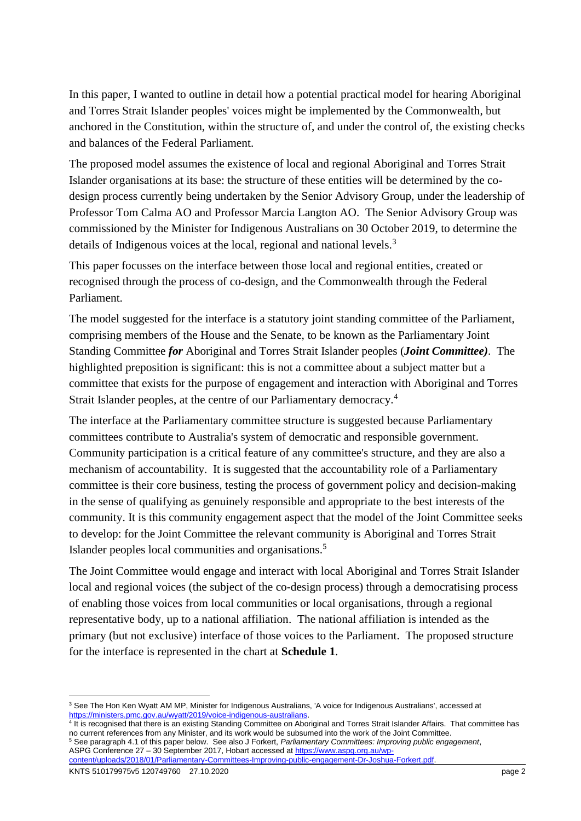In this paper, I wanted to outline in detail how a potential practical model for hearing Aboriginal and Torres Strait Islander peoples' voices might be implemented by the Commonwealth, but anchored in the Constitution, within the structure of, and under the control of, the existing checks and balances of the Federal Parliament.

details of Indigenous voices at the local, regional and national levels.<sup>3</sup> The proposed model assumes the existence of local and regional Aboriginal and Torres Strait Islander organisations at its base: the structure of these entities will be determined by the codesign process currently being undertaken by the Senior Advisory Group, under the leadership of Professor Tom Calma AO and Professor Marcia Langton AO. The Senior Advisory Group was commissioned by the Minister for Indigenous Australians on 30 October 2019, to determine the

This paper focusses on the interface between those local and regional entities, created or recognised through the process of co-design, and the Commonwealth through the Federal Parliament.

The model suggested for the interface is a statutory joint standing committee of the Parliament, comprising members of the House and the Senate, to be known as the Parliamentary Joint Standing Committee *for* Aboriginal and Torres Strait Islander peoples (*Joint Committee)*. The highlighted preposition is significant: this is not a committee about a subject matter but a committee that exists for the purpose of engagement and interaction with Aboriginal and Torres Strait Islander peoples, at the centre of our Parliamentary democracy.<sup>4</sup>

The interface at the Parliamentary committee structure is suggested because Parliamentary committees contribute to Australia's system of democratic and responsible government. Community participation is a critical feature of any committee's structure, and they are also a mechanism of accountability. It is suggested that the accountability role of a Parliamentary committee is their core business, testing the process of government policy and decision-making in the sense of qualifying as genuinely responsible and appropriate to the best interests of the community. It is this community engagement aspect that the model of the Joint Committee seeks to develop: for the Joint Committee the relevant community is Aboriginal and Torres Strait Islander peoples local communities and organisations.<sup>5</sup>

The Joint Committee would engage and interact with local Aboriginal and Torres Strait Islander local and regional voices (the subject of the co-design process) through a democratising process of enabling those voices from local communities or local organisations, through a regional representative body, up to a national affiliation. The national affiliation is intended as the primary (but not exclusive) interface of those voices to the Parliament. The proposed structure for the interface is represented in the chart at **Schedule 1**.

 $3$  See The Hon Ken Wyatt AM MP, Minister for Indigenous Australians, 'A voice for Indigenous Australians', accessed at

<sup>&</sup>lt;u>https://ministers.pmc.gov.au/wyatt/2019/voice-indigenous-australians</u>.<br><sup>4</sup> It is recognised that there is an existing Standing Committee on Aboriginal and Torres Strait Islander Affairs. That committee has no current references from any Minister, and its work would be subsumed into the work of the Joint Committee.

 5 See paragraph 4.1 of this paper below. See also J Forkert, *Parliamentary Committees: Improving public engagement*, ASPG Conference 27 – 30 September 2017, Hobart accessed a[t https://www.aspg.org.au/wp](about:blank)[content/uploads/2018/01/Parliamentary-Committees-Improving-public-engagement-Dr-Joshua-Forkert.pdf.](about:blank)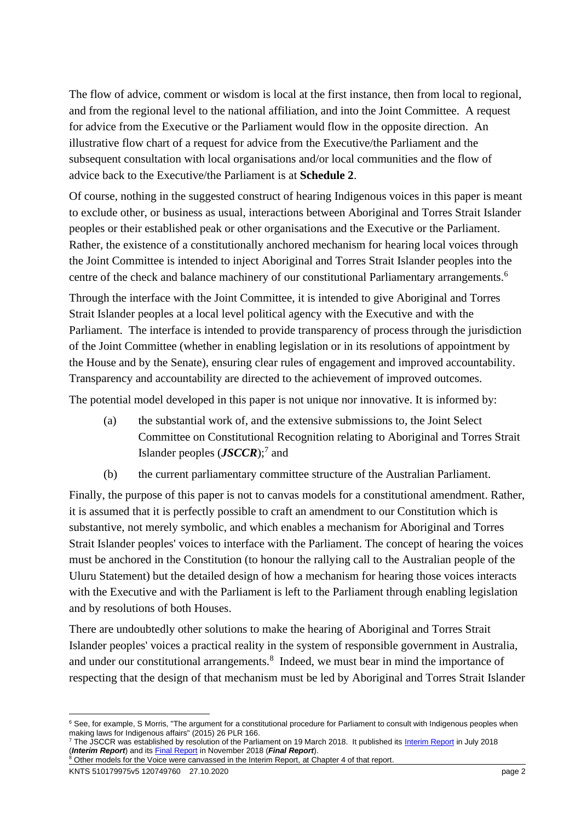for advice from the Executive or the Parliament would flow in the opposite direction. An The flow of advice, comment or wisdom is local at the first instance, then from local to regional, and from the regional level to the national affiliation, and into the Joint Committee. A request illustrative flow chart of a request for advice from the Executive/the Parliament and the subsequent consultation with local organisations and/or local communities and the flow of advice back to the Executive/the Parliament is at **Schedule 2**.

Of course, nothing in the suggested construct of hearing Indigenous voices in this paper is meant to exclude other, or business as usual, interactions between Aboriginal and Torres Strait Islander peoples or their established peak or other organisations and the Executive or the Parliament. Rather, the existence of a constitutionally anchored mechanism for hearing local voices through the Joint Committee is intended to inject Aboriginal and Torres Strait Islander peoples into the centre of the check and balance machinery of our constitutional Parliamentary arrangements.<sup>6</sup>

 Parliament. The interface is intended to provide transparency of process through the jurisdiction Through the interface with the Joint Committee, it is intended to give Aboriginal and Torres Strait Islander peoples at a local level political agency with the Executive and with the of the Joint Committee (whether in enabling legislation or in its resolutions of appointment by the House and by the Senate), ensuring clear rules of engagement and improved accountability. Transparency and accountability are directed to the achievement of improved outcomes.

The potential model developed in this paper is not unique nor innovative. It is informed by:

- (a) the substantial work of, and the extensive submissions to, the Joint Select Committee on Constitutional Recognition relating to Aboriginal and Torres Strait Islander peoples (*JSCCR*); 7 and
- (b) the current parliamentary committee structure of the Australian Parliament.

Finally, the purpose of this paper is not to canvas models for a constitutional amendment. Rather, it is assumed that it is perfectly possible to craft an amendment to our Constitution which is substantive, not merely symbolic, and which enables a mechanism for Aboriginal and Torres Strait Islander peoples' voices to interface with the Parliament. The concept of hearing the voices must be anchored in the Constitution (to honour the rallying call to the Australian people of the Uluru Statement) but the detailed design of how a mechanism for hearing those voices interacts with the Executive and with the Parliament is left to the Parliament through enabling legislation and by resolutions of both Houses.

and under our constitutional arrangements.<sup>8</sup> Indeed, we must bear in mind the importance of There are undoubtedly other solutions to make the hearing of Aboriginal and Torres Strait Islander peoples' voices a practical reality in the system of responsible government in Australia, respecting that the design of that mechanism must be led by Aboriginal and Torres Strait Islander

<sup>&</sup>lt;sup>6</sup> See, for example, S Morris, "The argument for a constitutional procedure for Parliament to consult with Indigenous peoples when making laws for Indigenous affairs" (2015) 26 PLR 166.

<sup>&</sup>lt;sup>7</sup> The JSCCR was established by resolution of the Parliament on 19 March 2018. It published it[s Interim Report i](about:blank)n July 2018 (*Interim Report*) and its [Final Report i](about:blank)n November 2018 (*Final Report*).

<sup>&</sup>lt;sup>8</sup> Other models for the Voice were canvassed in the Interim Report, at Chapter 4 of that report.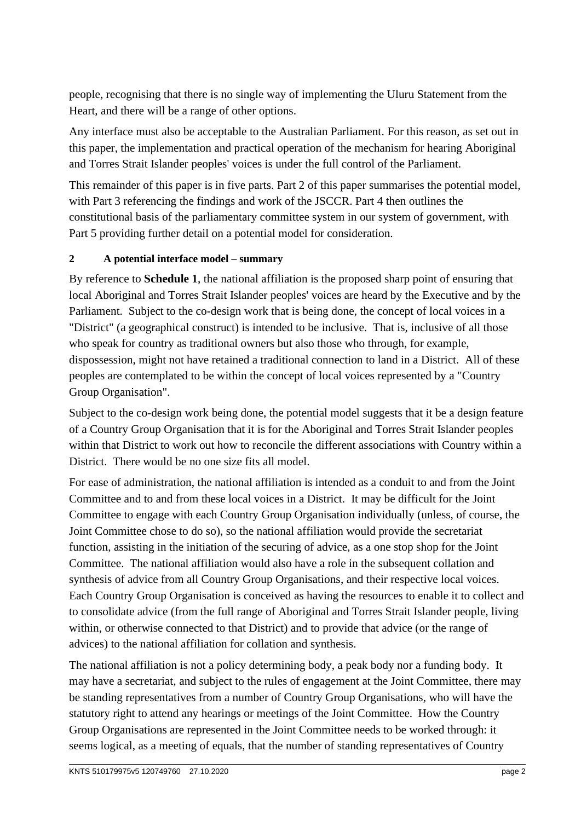people, recognising that there is no single way of implementing the Uluru Statement from the Heart, and there will be a range of other options.

Any interface must also be acceptable to the Australian Parliament. For this reason, as set out in this paper, the implementation and practical operation of the mechanism for hearing Aboriginal and Torres Strait Islander peoples' voices is under the full control of the Parliament.

This remainder of this paper is in five parts. Part 2 of this paper summarises the potential model, with Part 3 referencing the findings and work of the JSCCR. Part 4 then outlines the constitutional basis of the parliamentary committee system in our system of government, with Part 5 providing further detail on a potential model for consideration.

#### **2 A potential interface model – summary**

By reference to **Schedule 1**, the national affiliation is the proposed sharp point of ensuring that local Aboriginal and Torres Strait Islander peoples' voices are heard by the Executive and by the Parliament. Subject to the co-design work that is being done, the concept of local voices in a "District" (a geographical construct) is intended to be inclusive. That is, inclusive of all those who speak for country as traditional owners but also those who through, for example, dispossession, might not have retained a traditional connection to land in a District. All of these peoples are contemplated to be within the concept of local voices represented by a "Country Group Organisation".

Subject to the co-design work being done, the potential model suggests that it be a design feature of a Country Group Organisation that it is for the Aboriginal and Torres Strait Islander peoples within that District to work out how to reconcile the different associations with Country within a District. There would be no one size fits all model.

For ease of administration, the national affiliation is intended as a conduit to and from the Joint Committee and to and from these local voices in a District. It may be difficult for the Joint Committee to engage with each Country Group Organisation individually (unless, of course, the Joint Committee chose to do so), so the national affiliation would provide the secretariat function, assisting in the initiation of the securing of advice, as a one stop shop for the Joint Committee. The national affiliation would also have a role in the subsequent collation and synthesis of advice from all Country Group Organisations, and their respective local voices. Each Country Group Organisation is conceived as having the resources to enable it to collect and to consolidate advice (from the full range of Aboriginal and Torres Strait Islander people, living within, or otherwise connected to that District) and to provide that advice (or the range of advices) to the national affiliation for collation and synthesis.

 The national affiliation is not a policy determining body, a peak body nor a funding body. It may have a secretariat, and subject to the rules of engagement at the Joint Committee, there may be standing representatives from a number of Country Group Organisations, who will have the statutory right to attend any hearings or meetings of the Joint Committee. How the Country Group Organisations are represented in the Joint Committee needs to be worked through: it seems logical, as a meeting of equals, that the number of standing representatives of Country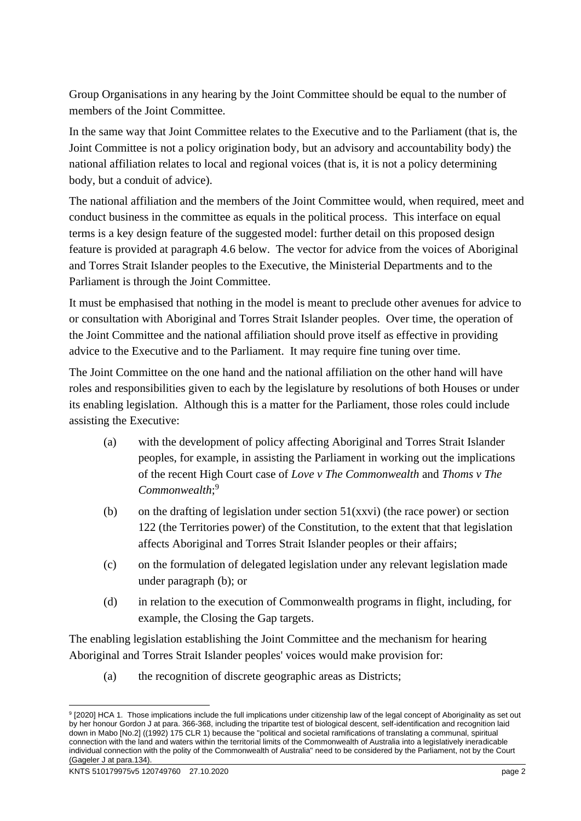Group Organisations in any hearing by the Joint Committee should be equal to the number of members of the Joint Committee.

In the same way that Joint Committee relates to the Executive and to the Parliament (that is, the Joint Committee is not a policy origination body, but an advisory and accountability body) the national affiliation relates to local and regional voices (that is, it is not a policy determining body, but a conduit of advice).

The national affiliation and the members of the Joint Committee would, when required, meet and conduct business in the committee as equals in the political process. This interface on equal terms is a key design feature of the suggested model: further detail on this proposed design feature is provided at paragraph 4.6 below. The vector for advice from the voices of Aboriginal and Torres Strait Islander peoples to the Executive, the Ministerial Departments and to the Parliament is through the Joint Committee.

It must be emphasised that nothing in the model is meant to preclude other avenues for advice to or consultation with Aboriginal and Torres Strait Islander peoples. Over time, the operation of the Joint Committee and the national affiliation should prove itself as effective in providing advice to the Executive and to the Parliament. It may require fine tuning over time.

The Joint Committee on the one hand and the national affiliation on the other hand will have roles and responsibilities given to each by the legislature by resolutions of both Houses or under its enabling legislation. Although this is a matter for the Parliament, those roles could include assisting the Executive:

- (a) with the development of policy affecting Aboriginal and Torres Strait Islander peoples, for example, in assisting the Parliament in working out the implications of the recent High Court case of *Love v The Commonwealth* and *Thoms v The Commonwealth*; 9
- (b) on the drafting of legislation under section  $51(xxy)$  (the race power) or section 122 (the Territories power) of the Constitution, to the extent that that legislation affects Aboriginal and Torres Strait Islander peoples or their affairs;
- (c) on the formulation of delegated legislation under any relevant legislation made under paragraph (b); or
- (d) in relation to the execution of Commonwealth programs in flight, including, for example, the Closing the Gap targets.

The enabling legislation establishing the Joint Committee and the mechanism for hearing Aboriginal and Torres Strait Islander peoples' voices would make provision for:

(a) the recognition of discrete geographic areas as Districts;

<sup>&</sup>lt;sup>9</sup> [2020] HCA 1. Those implications include the full implications under citizenship law of the legal concept of Aboriginality as set out by her honour Gordon J at para. 366-368, including the tripartite test of biological descent, self-identification and recognition laid down in Mabo [No.2] ((1992) 175 CLR 1) because the "political and societal ramifications of translating a communal, spiritual connection with the land and waters within the territorial limits of the Commonwealth of Australia into a legislatively ineradicable individual connection with the polity of the Commonwealth of Australia" need to be considered by the Parliament, not by the Court (Gageler J at para.134).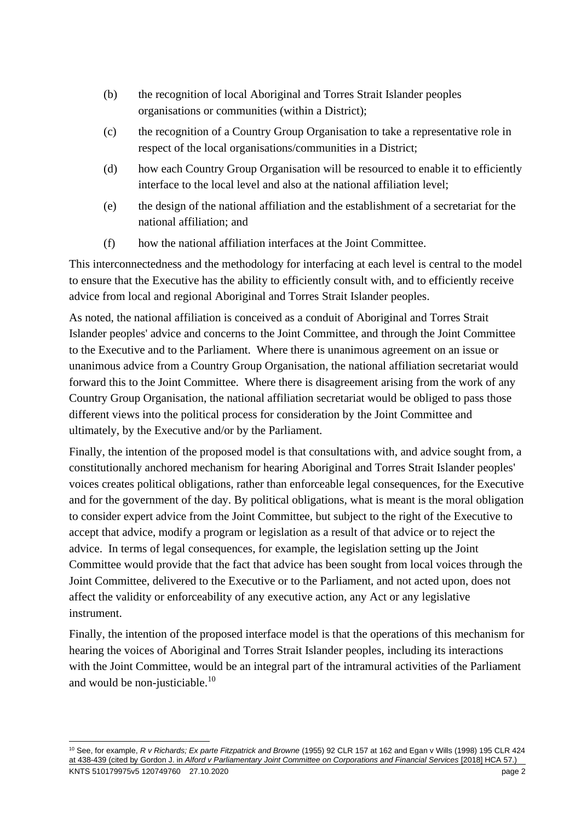- (b) the recognition of local Aboriginal and Torres Strait Islander peoples organisations or communities (within a District);
- (c) the recognition of a Country Group Organisation to take a representative role in respect of the local organisations/communities in a District;
- (d) how each Country Group Organisation will be resourced to enable it to efficiently interface to the local level and also at the national affiliation level;
- (e) the design of the national affiliation and the establishment of a secretariat for the national affiliation; and
- (f) how the national affiliation interfaces at the Joint Committee.

This interconnectedness and the methodology for interfacing at each level is central to the model to ensure that the Executive has the ability to efficiently consult with, and to efficiently receive advice from local and regional Aboriginal and Torres Strait Islander peoples.

As noted, the national affiliation is conceived as a conduit of Aboriginal and Torres Strait Islander peoples' advice and concerns to the Joint Committee, and through the Joint Committee to the Executive and to the Parliament. Where there is unanimous agreement on an issue or unanimous advice from a Country Group Organisation, the national affiliation secretariat would forward this to the Joint Committee. Where there is disagreement arising from the work of any Country Group Organisation, the national affiliation secretariat would be obliged to pass those different views into the political process for consideration by the Joint Committee and ultimately, by the Executive and/or by the Parliament.

Finally, the intention of the proposed model is that consultations with, and advice sought from, a constitutionally anchored mechanism for hearing Aboriginal and Torres Strait Islander peoples' voices creates political obligations, rather than enforceable legal consequences, for the Executive and for the government of the day. By political obligations, what is meant is the moral obligation to consider expert advice from the Joint Committee, but subject to the right of the Executive to accept that advice, modify a program or legislation as a result of that advice or to reject the advice. In terms of legal consequences, for example, the legislation setting up the Joint Committee would provide that the fact that advice has been sought from local voices through the Joint Committee, delivered to the Executive or to the Parliament, and not acted upon, does not affect the validity or enforceability of any executive action, any Act or any legislative instrument.

Finally, the intention of the proposed interface model is that the operations of this mechanism for hearing the voices of Aboriginal and Torres Strait Islander peoples, including its interactions with the Joint Committee, would be an integral part of the intramural activities of the Parliament and would be non-justiciable. $10$ 

 KNTS 510179975v5 120749760 27.10.2020 page 2 10 See, for example, *R v Richards; Ex parte Fitzpatrick and Browne* (1955) 92 CLR 157 at 162 and Egan v Wills (1998) 195 CLR 424 at 438-439 (cited by Gordon J. in Alford v Parliamentary Joint Committee on Corporations and Financial Services [2018] HCA 57.)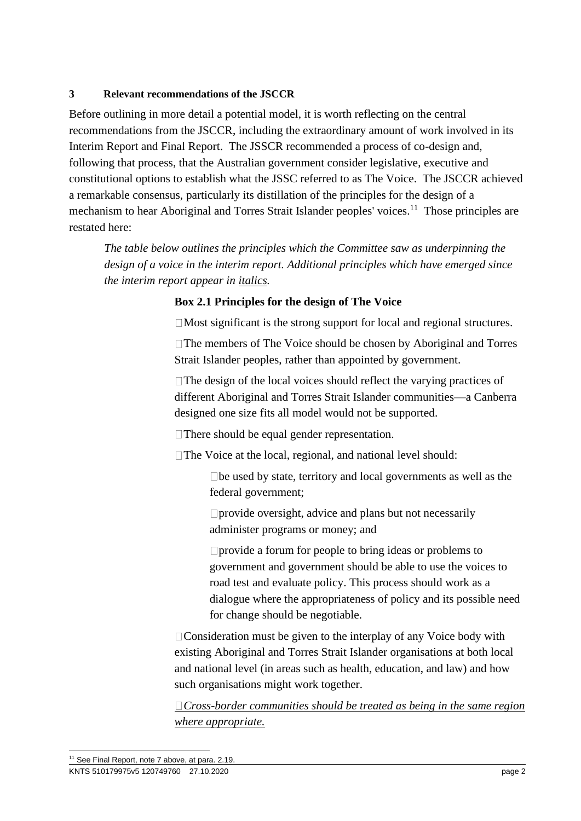#### **3 Relevant recommendations of the JSCCR**

Before outlining in more detail a potential model, it is worth reflecting on the central recommendations from the JSCCR, including the extraordinary amount of work involved in its Interim Report and Final Report. The JSSCR recommended a process of co-design and, following that process, that the Australian government consider legislative, executive and constitutional options to establish what the JSSC referred to as The Voice. The JSCCR achieved a remarkable consensus, particularly its distillation of the principles for the design of a mechanism to hear Aboriginal and Torres Strait Islander peoples' voices.<sup>11</sup> Those principles are restated here:

*The table below outlines the principles which the Committee saw as underpinning the design of a voice in the interim report. Additional principles which have emerged since the interim report appear in italics.* 

## **Box 2.1 Principles for the design of The Voice**

 $\Box$  Most significant is the strong support for local and regional structures.

The members of The Voice should be chosen by Aboriginal and Torres Strait Islander peoples, rather than appointed by government.

 $\Box$  The design of the local voices should reflect the varying practices of different Aboriginal and Torres Strait Islander communities—a Canberra designed one size fits all model would not be supported.

□There should be equal gender representation.

 $\Box$  The Voice at the local, regional, and national level should:

 $\square$  be used by state, territory and local governments as well as the federal government;

 $\Box$ provide oversight, advice and plans but not necessarily administer programs or money; and

 $\Box$ provide a forum for people to bring ideas or problems to government and government should be able to use the voices to road test and evaluate policy. This process should work as a dialogue where the appropriateness of policy and its possible need for change should be negotiable.

 $\Box$ Consideration must be given to the interplay of any Voice body with existing Aboriginal and Torres Strait Islander organisations at both local and national level (in areas such as health, education, and law) and how such organisations might work together.

*Cross-border communities should be treated as being in the same region where appropriate.*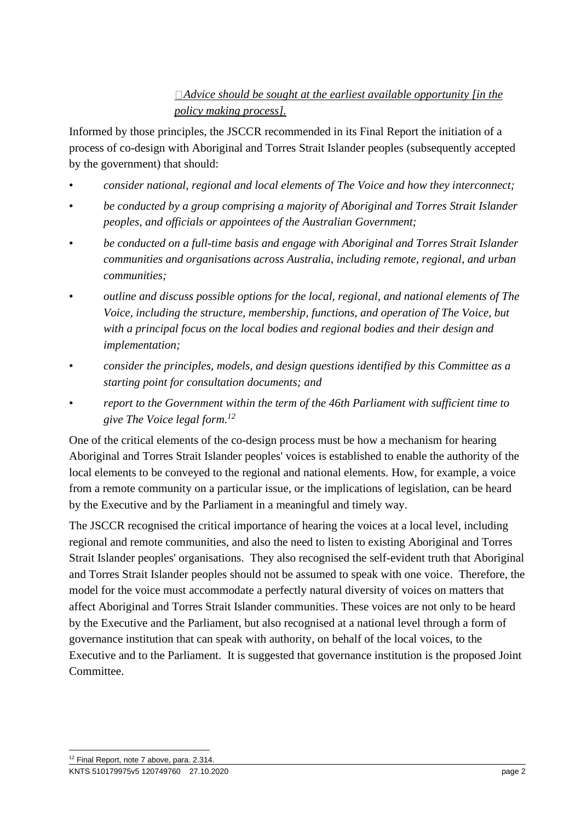# *Advice should be sought at the earliest available opportunity [in the policy making process].*

Informed by those principles, the JSCCR recommended in its Final Report the initiation of a process of co-design with Aboriginal and Torres Strait Islander peoples (subsequently accepted by the government) that should:

- consider national, regional and local elements of The Voice and how they interconnect;
- be conducted by a group comprising a majority of Aboriginal and Torres Strait Islander *peoples, and officials or appointees of the Australian Government;*
- be conducted on a full-time basis and engage with Aboriginal and Torres Strait Islander *communities and organisations across Australia, including remote, regional, and urban communities;*
- outline and discuss possible options for the local, regional, and national elements of The *Voice, including the structure, membership, functions, and operation of The Voice, but with a principal focus on the local bodies and regional bodies and their design and implementation;*
- • *consider the principles, models, and design questions identified by this Committee as a starting point for consultation documents; and*
- report to the Government within the term of the 46th Parliament with sufficient time to *give The Voice legal form.<sup>12</sup>*

One of the critical elements of the co-design process must be how a mechanism for hearing Aboriginal and Torres Strait Islander peoples' voices is established to enable the authority of the local elements to be conveyed to the regional and national elements. How, for example, a voice from a remote community on a particular issue, or the implications of legislation, can be heard by the Executive and by the Parliament in a meaningful and timely way.

 Executive and to the Parliament. It is suggested that governance institution is the proposed Joint The JSCCR recognised the critical importance of hearing the voices at a local level, including regional and remote communities, and also the need to listen to existing Aboriginal and Torres Strait Islander peoples' organisations. They also recognised the self-evident truth that Aboriginal and Torres Strait Islander peoples should not be assumed to speak with one voice. Therefore, the model for the voice must accommodate a perfectly natural diversity of voices on matters that affect Aboriginal and Torres Strait Islander communities. These voices are not only to be heard by the Executive and the Parliament, but also recognised at a national level through a form of governance institution that can speak with authority, on behalf of the local voices, to the Committee.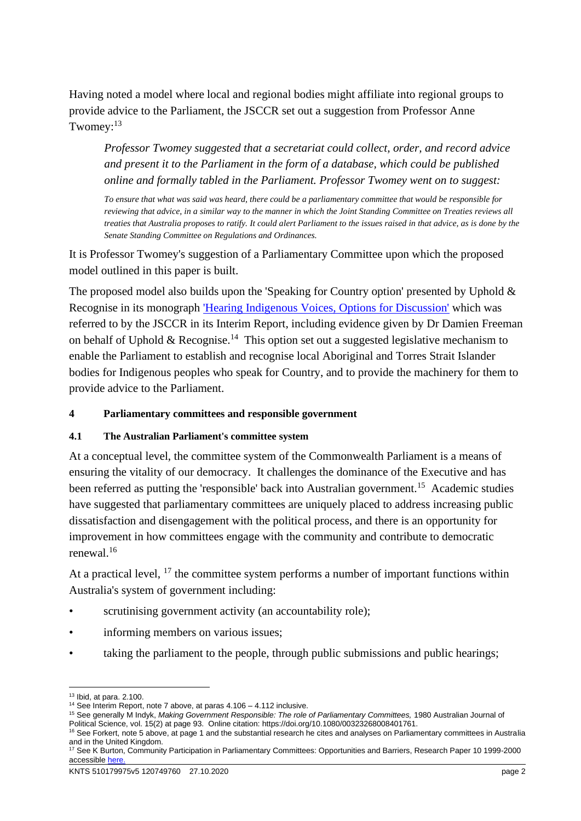Having noted a model where local and regional bodies might affiliate into regional groups to provide advice to the Parliament, the JSCCR set out a suggestion from Professor Anne Twomey:<sup>13</sup>

*Professor Twomey suggested that a secretariat could collect, order, and record advice and present it to the Parliament in the form of a database, which could be published online and formally tabled in the Parliament. Professor Twomey went on to suggest:* 

 *To ensure that what was said was heard, there could be a parliamentary committee that would be responsible for*  reviewing that advice, in a similar way to the manner in which the Joint Standing Committee on Treaties reviews all  *treaties that Australia proposes to ratify. It could alert Parliament to the issues raised in that advice, as is done by the Senate Standing Committee on Regulations and Ordinances.* 

It is Professor Twomey's suggestion of a Parliamentary Committee upon which the proposed model outlined in this paper is built.

on behalf of Uphold & Recognise.<sup>14</sup> This option set out a suggested legislative mechanism to The proposed model also builds upon the 'Speaking for Country option' presented by Uphold & Recognise in its monograph ['Hearing Indigenous Voices, Options for Discussion'](about:blank) which was referred to by the JSCCR in its Interim Report, including evidence given by Dr Damien Freeman enable the Parliament to establish and recognise local Aboriginal and Torres Strait Islander bodies for Indigenous peoples who speak for Country, and to provide the machinery for them to provide advice to the Parliament.

#### **4 Parliamentary committees and responsible government**

#### **4.1 The Australian Parliament's committee system**

At a conceptual level, the committee system of the Commonwealth Parliament is a means of ensuring the vitality of our democracy. It challenges the dominance of the Executive and has been referred as putting the 'responsible' back into Australian government.<sup>15</sup> Academic studies have suggested that parliamentary committees are uniquely placed to address increasing public dissatisfaction and disengagement with the political process, and there is an opportunity for improvement in how committees engage with the community and contribute to democratic renewal.<sup>16</sup>

At a practical level,  $^{17}$  the committee system performs a number of important functions within Australia's system of government including:

- scrutinising government activity (an accountability role);
- informing members on various issues;
- taking the parliament to the people, through public submissions and public hearings;

 $13$  Ibid, at para. 2.100.

<sup>&</sup>lt;sup>14</sup> See Interim Report, note 7 above, at paras  $4.106 - 4.112$  inclusive.

 Political Science, vol. 15(2) at page 93. Online citation: https://doi.org/10.1080/00323268008401761. <sup>15</sup> See generally M Indyk, Making Government Responsible: The role of Parliamentary Committees, 1980 Australian Journal of

 and in the United Kingdom. <sup>16</sup> See Forkert, note 5 above, at page 1 and the substantial research he cites and analyses on Parliamentary committees in Australia

<sup>&</sup>lt;sup>17</sup> See K Burton, Community Participation in Parliamentary Committees: Opportunities and Barriers, Research Paper 10 1999-2000 accessible here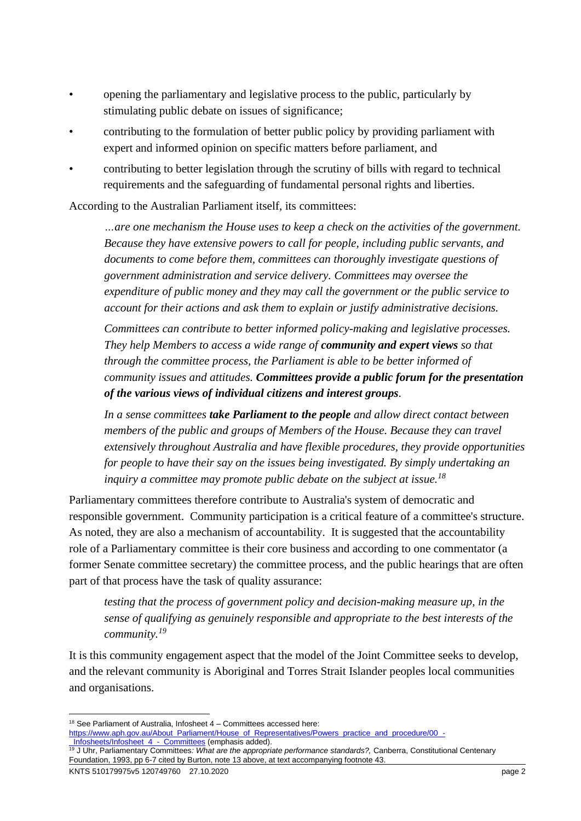- opening the parliamentary and legislative process to the public, particularly by stimulating public debate on issues of significance;
- contributing to the formulation of better public policy by providing parliament with expert and informed opinion on specific matters before parliament, and
- contributing to better legislation through the scrutiny of bills with regard to technical requirements and the safeguarding of fundamental personal rights and liberties.

According to the Australian Parliament itself, its committees:

*…are one mechanism the House uses to keep a check on the activities of the government. Because they have extensive powers to call for people, including public servants, and documents to come before them, committees can thoroughly investigate questions of government administration and service delivery. Committees may oversee the expenditure of public money and they may call the government or the public service to account for their actions and ask them to explain or justify administrative decisions.* 

*Committees can contribute to better informed policy-making and legislative processes. They help Members to access a wide range of community and expert views so that through the committee process, the Parliament is able to be better informed of community issues and attitudes. Committees provide a public forum for the presentation of the various views of individual citizens and interest groups.* 

*In a sense committees take Parliament to the people and allow direct contact between members of the public and groups of Members of the House. Because they can travel extensively throughout Australia and have flexible procedures, they provide opportunities for people to have their say on the issues being investigated. By simply undertaking an inquiry a committee may promote public debate on the subject at issue.<sup>18</sup>*

Parliamentary committees therefore contribute to Australia's system of democratic and responsible government. Community participation is a critical feature of a committee's structure. As noted, they are also a mechanism of accountability. It is suggested that the accountability role of a Parliamentary committee is their core business and according to one commentator (a former Senate committee secretary) the committee process, and the public hearings that are often part of that process have the task of quality assurance:

*testing that the process of government policy and decision-making measure up, in the sense of qualifying as genuinely responsible and appropriate to the best interests of the community.<sup>19</sup>*

It is this community engagement aspect that the model of the Joint Committee seeks to develop, and the relevant community is Aboriginal and Torres Strait Islander peoples local communities and organisations.

- [https://www.aph.gov.au/About\\_Parliament/House\\_of\\_Representatives/Powers\\_practice\\_and\\_procedure/00\\_-](about:blank) [\\_Infosheets/Infosheet\\_4\\_-\\_Committees \(](about:blank)emphasis added).
- Foundation, 1993, pp 6-7 cited by Burton, note 13 above, at text accompanying footnote 43. 19 J Uhr, Parliamentary Committees*: What are the appropriate performance standards?,* Canberra, Constitutional Centenary

 18 See Parliament of Australia, Infosheet 4 – Committees accessed here: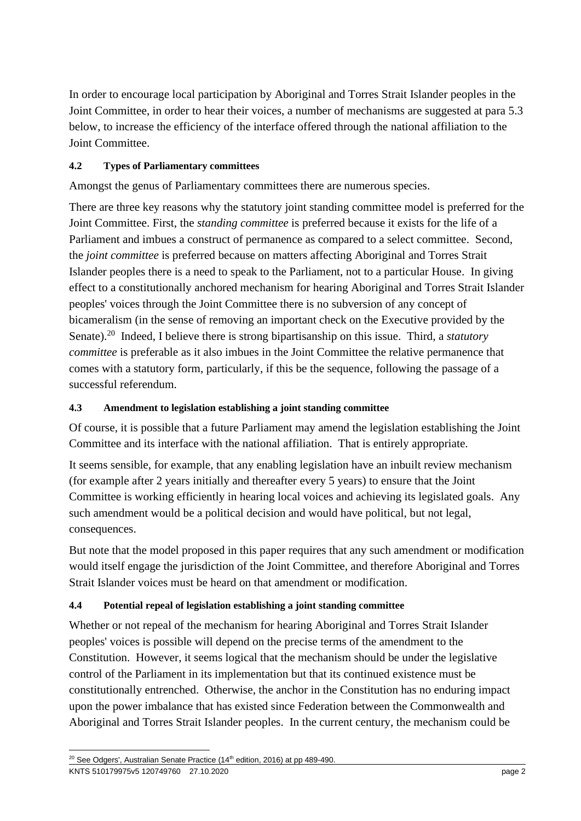In order to encourage local participation by Aboriginal and Torres Strait Islander peoples in the Joint Committee, in order to hear their voices, a number of mechanisms are suggested at para 5.3 below, to increase the efficiency of the interface offered through the national affiliation to the Joint Committee.

# **4.2 Types of Parliamentary committees**

Amongst the genus of Parliamentary committees there are numerous species.

There are three key reasons why the statutory joint standing committee model is preferred for the Joint Committee. First, the *standing committee* is preferred because it exists for the life of a Parliament and imbues a construct of permanence as compared to a select committee. Second, the *joint committee* is preferred because on matters affecting Aboriginal and Torres Strait Islander peoples there is a need to speak to the Parliament, not to a particular House. In giving effect to a constitutionally anchored mechanism for hearing Aboriginal and Torres Strait Islander peoples' voices through the Joint Committee there is no subversion of any concept of bicameralism (in the sense of removing an important check on the Executive provided by the Senate). 20 Indeed, I believe there is strong bipartisanship on this issue. Third, a *statutory committee* is preferable as it also imbues in the Joint Committee the relative permanence that comes with a statutory form, particularly, if this be the sequence, following the passage of a successful referendum.

#### **4.3 Amendment to legislation establishing a joint standing committee**

Of course, it is possible that a future Parliament may amend the legislation establishing the Joint Committee and its interface with the national affiliation. That is entirely appropriate.

It seems sensible, for example, that any enabling legislation have an inbuilt review mechanism (for example after 2 years initially and thereafter every 5 years) to ensure that the Joint Committee is working efficiently in hearing local voices and achieving its legislated goals. Any such amendment would be a political decision and would have political, but not legal, consequences.

But note that the model proposed in this paper requires that any such amendment or modification would itself engage the jurisdiction of the Joint Committee, and therefore Aboriginal and Torres Strait Islander voices must be heard on that amendment or modification.

#### **4.4 Potential repeal of legislation establishing a joint standing committee**

Whether or not repeal of the mechanism for hearing Aboriginal and Torres Strait Islander peoples' voices is possible will depend on the precise terms of the amendment to the Constitution. However, it seems logical that the mechanism should be under the legislative control of the Parliament in its implementation but that its continued existence must be constitutionally entrenched. Otherwise, the anchor in the Constitution has no enduring impact upon the power imbalance that has existed since Federation between the Commonwealth and Aboriginal and Torres Strait Islander peoples. In the current century, the mechanism could be

 KNTS 510179975v5 120749760 27.10.2020 page 2  $^{20}$  See Odgers', Australian Senate Practice (14<sup>th</sup> edition, 2016) at pp 489-490.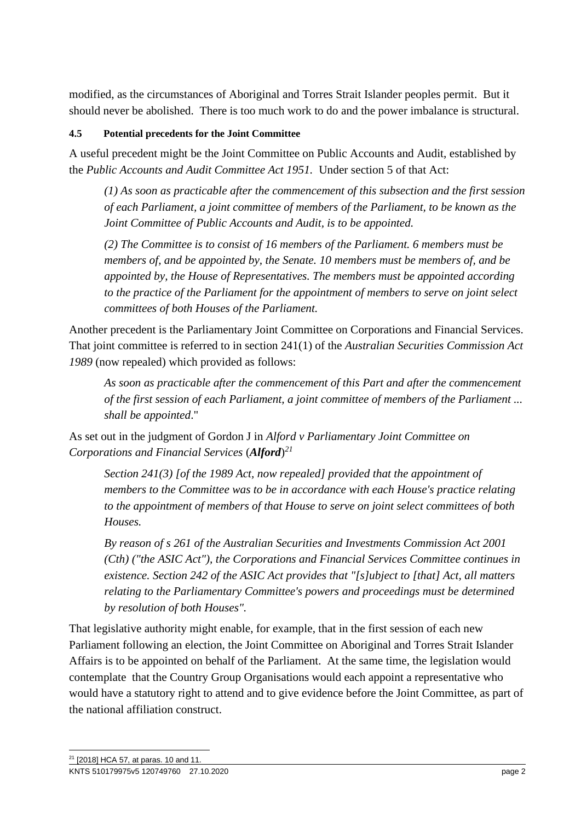modified, as the circumstances of Aboriginal and Torres Strait Islander peoples permit. But it should never be abolished. There is too much work to do and the power imbalance is structural.

#### **4.5 Potential precedents for the Joint Committee**

 the *Public Accounts and Audit Committee Act 1951.* Under section 5 of that Act: A useful precedent might be the Joint Committee on Public Accounts and Audit, established by

*(1) As soon as practicable after the commencement of this subsection and the first session of each Parliament, a joint committee of members of the Parliament, to be known as the Joint Committee of Public Accounts and Audit, is to be appointed.* 

*(2) The Committee is to consist of 16 members of the Parliament. 6 members must be members of, and be appointed by, the Senate. 10 members must be members of, and be appointed by, the House of Representatives. The members must be appointed according to the practice of the Parliament for the appointment of members to serve on joint select committees of both Houses of the Parliament.* 

Another precedent is the Parliamentary Joint Committee on Corporations and Financial Services. That joint committee is referred to in section 241(1) of the *Australian Securities Commission Act 1989* (now repealed) which provided as follows:

*As soon as practicable after the commencement of this Part and after the commencement of the first session of each Parliament, a joint committee of members of the Parliament ... shall be appointed*."

As set out in the judgment of Gordon J in *Alford v Parliamentary Joint Committee on Corporations and Financial Services* (*Alford*) *21* 

*Section 241(3) [of the 1989 Act, now repealed] provided that the appointment of members to the Committee was to be in accordance with each House's practice relating to the appointment of members of that House to serve on joint select committees of both Houses.* 

*By reason of s 261 of the Australian Securities and Investments Commission Act 2001 (Cth) ("the ASIC Act"), the Corporations and Financial Services Committee continues in existence. Section 242 of the ASIC Act provides that "[s]ubject to [that] Act, all matters relating to the Parliamentary Committee's powers and proceedings must be determined by resolution of both Houses".* 

That legislative authority might enable, for example, that in the first session of each new Parliament following an election, the Joint Committee on Aboriginal and Torres Strait Islander Affairs is to be appointed on behalf of the Parliament. At the same time, the legislation would contemplate that the Country Group Organisations would each appoint a representative who would have a statutory right to attend and to give evidence before the Joint Committee, as part of the national affiliation construct.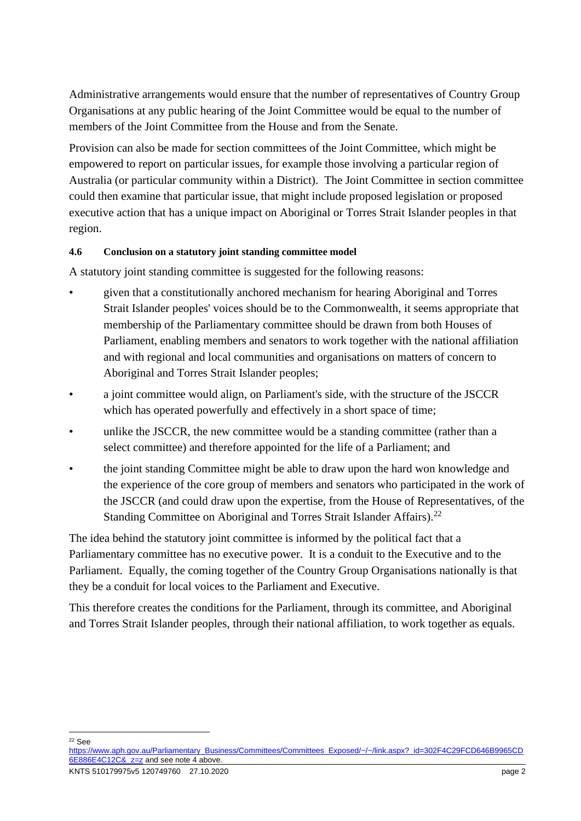Administrative arrangements would ensure that the number of representatives of Country Group Organisations at any public hearing of the Joint Committee would be equal to the number of members of the Joint Committee from the House and from the Senate.

Provision can also be made for section committees of the Joint Committee, which might be empowered to report on particular issues, for example those involving a particular region of Australia (or particular community within a District). The Joint Committee in section committee could then examine that particular issue, that might include proposed legislation or proposed executive action that has a unique impact on Aboriginal or Torres Strait Islander peoples in that region.

#### **4.6 Conclusion on a statutory joint standing committee model**

A statutory joint standing committee is suggested for the following reasons:

- given that a constitutionally anchored mechanism for hearing Aboriginal and Torres Strait Islander peoples' voices should be to the Commonwealth, it seems appropriate that membership of the Parliamentary committee should be drawn from both Houses of Parliament, enabling members and senators to work together with the national affiliation and with regional and local communities and organisations on matters of concern to Aboriginal and Torres Strait Islander peoples;
- a joint committee would align, on Parliament's side, with the structure of the JSCCR which has operated powerfully and effectively in a short space of time;
- unlike the JSCCR, the new committee would be a standing committee (rather than a select committee) and therefore appointed for the life of a Parliament; and
- the joint standing Committee might be able to draw upon the hard won knowledge and the experience of the core group of members and senators who participated in the work of the JSCCR (and could draw upon the expertise, from the House of Representatives, of the Standing Committee on Aboriginal and Torres Strait Islander Affairs).<sup>22</sup>

The idea behind the statutory joint committee is informed by the political fact that a Parliamentary committee has no executive power. It is a conduit to the Executive and to the Parliament. Equally, the coming together of the Country Group Organisations nationally is that they be a conduit for local voices to the Parliament and Executive.

This therefore creates the conditions for the Parliament, through its committee, and Aboriginal and Torres Strait Islander peoples, through their national affiliation, to work together as equals.

<sup>22</sup> See

[<sup>6</sup>E886E4C12C&\\_z=z a](about:blank)nd see note 4 above. https://www.aph.gov.au/Parliamentary\_Business/Committees/Committees\_Exposed/~/~/link.aspx?\_id=302F4C29FCD646B9965CD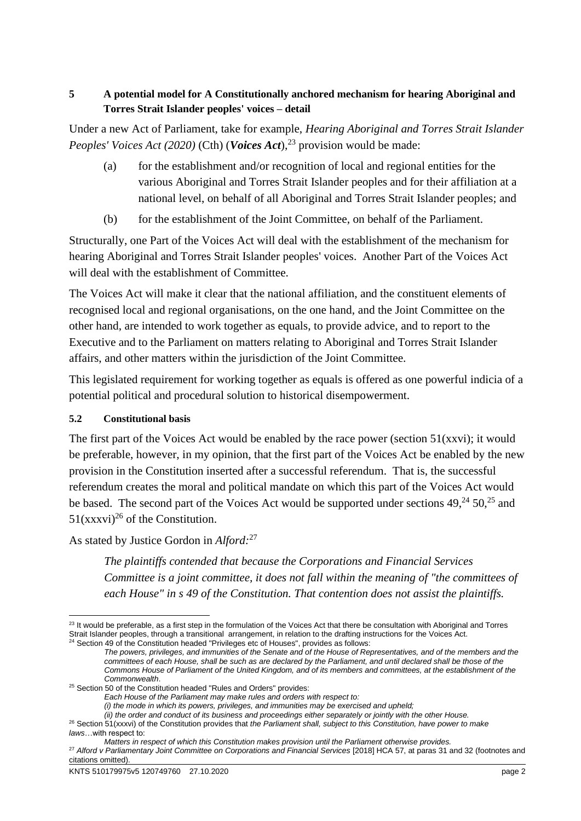# **5 A potential model for A Constitutionally anchored mechanism for hearing Aboriginal and Torres Strait Islander peoples' voices – detail**

Under a new Act of Parliament, take for example, *Hearing Aboriginal and Torres Strait Islander Peoples' Voices Act (2020)* (Cth) (*Voices Act*), 23 provision would be made:

- (a) for the establishment and/or recognition of local and regional entities for the various Aboriginal and Torres Strait Islander peoples and for their affiliation at a national level, on behalf of all Aboriginal and Torres Strait Islander peoples; and
- (b) for the establishment of the Joint Committee, on behalf of the Parliament.

Structurally, one Part of the Voices Act will deal with the establishment of the mechanism for hearing Aboriginal and Torres Strait Islander peoples' voices. Another Part of the Voices Act will deal with the establishment of Committee.

The Voices Act will make it clear that the national affiliation, and the constituent elements of recognised local and regional organisations, on the one hand, and the Joint Committee on the other hand, are intended to work together as equals, to provide advice, and to report to the Executive and to the Parliament on matters relating to Aboriginal and Torres Strait Islander affairs, and other matters within the jurisdiction of the Joint Committee.

This legislated requirement for working together as equals is offered as one powerful indicia of a potential political and procedural solution to historical disempowerment.

#### **5.2 Constitutional basis**

 provision in the Constitution inserted after a successful referendum. That is, the successful The first part of the Voices Act would be enabled by the race power (section  $51(xxy)$ ; it would be preferable, however, in my opinion, that the first part of the Voices Act be enabled by the new referendum creates the moral and political mandate on which this part of the Voices Act would be based. The second part of the Voices Act would be supported under sections  $49<sup>24</sup> 50<sup>25</sup>$  and  $51(xxxv<sup>26</sup>)<sup>26</sup>$  of the Constitution.

As stated by Justice Gordon in *Alford:* 27

*The plaintiffs contended that because the Corporations and Financial Services Committee is a joint committee, it does not fall within the meaning of "the committees of each House" in s 49 of the Constitution. That contention does not assist the plaintiffs.* 

 $^{23}$  It would be preferable, as a first step in the formulation of the Voices Act that there be consultation with Aboriginal and Torres Strait Islander peoples, through a transitional arrangement, in relation to the drafting instructions for the Voices Act.

 *The powers, privileges, and immunities of the Senate and of the House of Representatives, and of the members and the committees of each House, shall be such as are declared by the Parliament, and until declared shall be those of the Commons House of Parliament of the United Kingdom, and of its members and committees, at the establishment of the*   $24$  Section 49 of the Constitution headed "Privileges etc of Houses", provides as follows:

 *Commonwealth*. 25 Section 50 of the Constitution headed "Rules and Orders" provides:

 *Each House of the Parliament may make rules and orders with respect to:* 

 *(i) the mode in which its powers, privileges, and immunities may be exercised and upheld;* 

 *(ii) the order and conduct of its business and proceedings either separately or jointly with the other House.* 

 26 Section 51(xxxvi) of the Constitution provides that *the Parliament shall, subject to this Constitution, have power to make laws*…with respect to:

 *Matters in respect of which this Constitution makes provision until the Parliament otherwise provides.* <sup>27</sup> Alford v Parliamentary Joint Committee on Corporations and Financial Services [2018] HCA 57, at paras 31 and 32 (footnotes and citations omitted).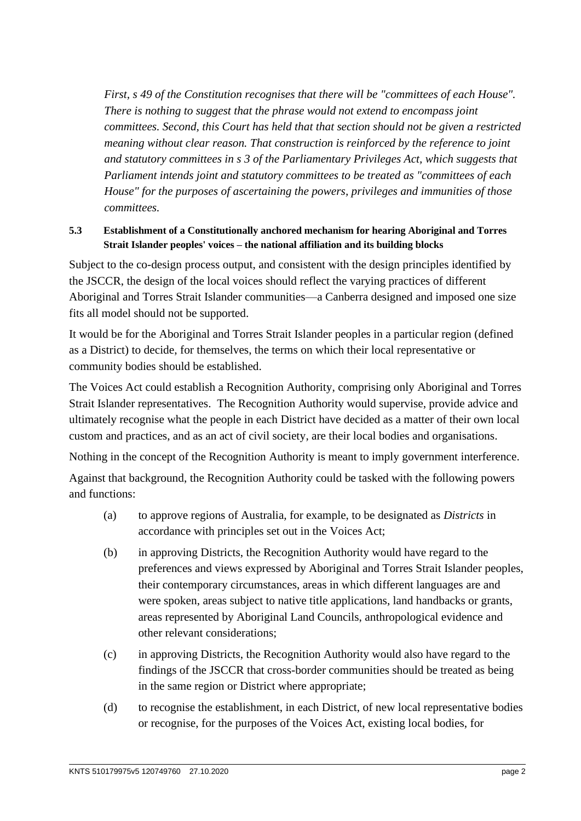*First, s 49 of the Constitution recognises that there will be "committees of each House". There is nothing to suggest that the phrase would not extend to encompass joint committees. Second, this Court has held that that section should not be given a restricted meaning without clear reason. That construction is reinforced by the reference to joint and statutory committees in s 3 of the Parliamentary Privileges Act, which suggests that Parliament intends joint and statutory committees to be treated as "committees of each House" for the purposes of ascertaining the powers, privileges and immunities of those committees.* 

#### **5.3 Establishment of a Constitutionally anchored mechanism for hearing Aboriginal and Torres Strait Islander peoples' voices – the national affiliation and its building blocks**

Subject to the co-design process output, and consistent with the design principles identified by the JSCCR, the design of the local voices should reflect the varying practices of different Aboriginal and Torres Strait Islander communities—a Canberra designed and imposed one size fits all model should not be supported.

It would be for the Aboriginal and Torres Strait Islander peoples in a particular region (defined as a District) to decide, for themselves, the terms on which their local representative or community bodies should be established.

The Voices Act could establish a Recognition Authority, comprising only Aboriginal and Torres Strait Islander representatives. The Recognition Authority would supervise, provide advice and ultimately recognise what the people in each District have decided as a matter of their own local custom and practices, and as an act of civil society, are their local bodies and organisations.

Nothing in the concept of the Recognition Authority is meant to imply government interference.

Against that background, the Recognition Authority could be tasked with the following powers and functions:

- (a) to approve regions of Australia, for example, to be designated as *Districts* in accordance with principles set out in the Voices Act;
- (b) in approving Districts, the Recognition Authority would have regard to the preferences and views expressed by Aboriginal and Torres Strait Islander peoples, their contemporary circumstances, areas in which different languages are and were spoken, areas subject to native title applications, land handbacks or grants, areas represented by Aboriginal Land Councils, anthropological evidence and other relevant considerations;
- (c) in approving Districts, the Recognition Authority would also have regard to the findings of the JSCCR that cross-border communities should be treated as being in the same region or District where appropriate;
- (d) to recognise the establishment, in each District, of new local representative bodies or recognise, for the purposes of the Voices Act, existing local bodies, for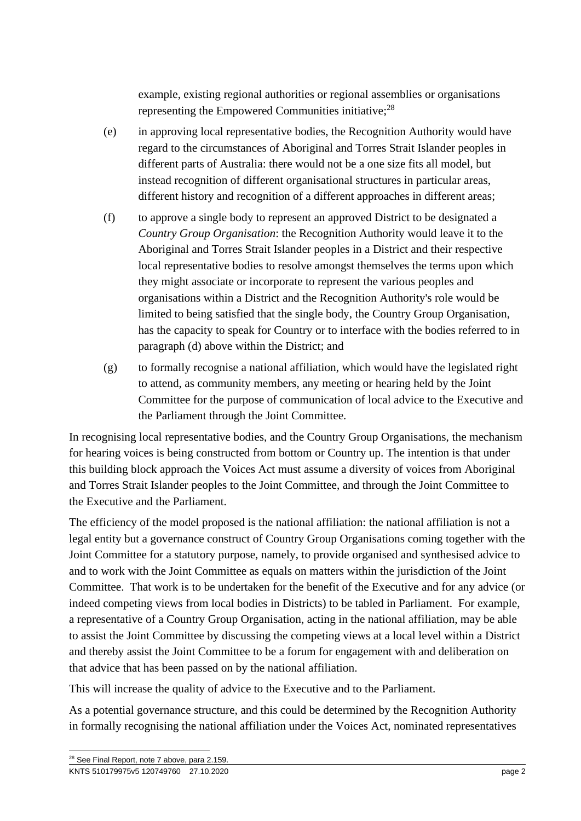example, existing regional authorities or regional assemblies or organisations representing the Empowered Communities initiative;<sup>28</sup>

- (e) in approving local representative bodies, the Recognition Authority would have regard to the circumstances of Aboriginal and Torres Strait Islander peoples in different parts of Australia: there would not be a one size fits all model, but instead recognition of different organisational structures in particular areas, different history and recognition of a different approaches in different areas;
- (f) to approve a single body to represent an approved District to be designated a *Country Group Organisation*: the Recognition Authority would leave it to the Aboriginal and Torres Strait Islander peoples in a District and their respective local representative bodies to resolve amongst themselves the terms upon which they might associate or incorporate to represent the various peoples and organisations within a District and the Recognition Authority's role would be limited to being satisfied that the single body, the Country Group Organisation, has the capacity to speak for Country or to interface with the bodies referred to in paragraph (d) above within the District; and
- (g) to formally recognise a national affiliation, which would have the legislated right to attend, as community members, any meeting or hearing held by the Joint Committee for the purpose of communication of local advice to the Executive and the Parliament through the Joint Committee.

In recognising local representative bodies, and the Country Group Organisations, the mechanism for hearing voices is being constructed from bottom or Country up. The intention is that under this building block approach the Voices Act must assume a diversity of voices from Aboriginal and Torres Strait Islander peoples to the Joint Committee, and through the Joint Committee to the Executive and the Parliament.

 Committee. That work is to be undertaken for the benefit of the Executive and for any advice (or The efficiency of the model proposed is the national affiliation: the national affiliation is not a legal entity but a governance construct of Country Group Organisations coming together with the Joint Committee for a statutory purpose, namely, to provide organised and synthesised advice to and to work with the Joint Committee as equals on matters within the jurisdiction of the Joint indeed competing views from local bodies in Districts) to be tabled in Parliament. For example, a representative of a Country Group Organisation, acting in the national affiliation, may be able to assist the Joint Committee by discussing the competing views at a local level within a District and thereby assist the Joint Committee to be a forum for engagement with and deliberation on that advice that has been passed on by the national affiliation.

This will increase the quality of advice to the Executive and to the Parliament.

As a potential governance structure, and this could be determined by the Recognition Authority in formally recognising the national affiliation under the Voices Act, nominated representatives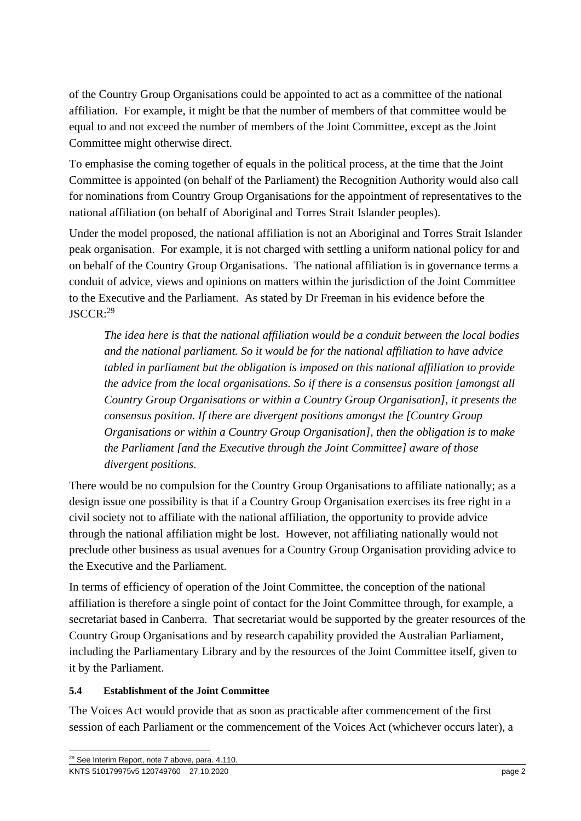Committee might otherwise direct. of the Country Group Organisations could be appointed to act as a committee of the national affiliation. For example, it might be that the number of members of that committee would be equal to and not exceed the number of members of the Joint Committee, except as the Joint

To emphasise the coming together of equals in the political process, at the time that the Joint Committee is appointed (on behalf of the Parliament) the Recognition Authority would also call for nominations from Country Group Organisations for the appointment of representatives to the national affiliation (on behalf of Aboriginal and Torres Strait Islander peoples).

Under the model proposed, the national affiliation is not an Aboriginal and Torres Strait Islander peak organisation. For example, it is not charged with settling a uniform national policy for and on behalf of the Country Group Organisations. The national affiliation is in governance terms a conduit of advice, views and opinions on matters within the jurisdiction of the Joint Committee to the Executive and the Parliament. As stated by Dr Freeman in his evidence before the JSCCR: 29

 *Country Group Organisations or within a Country Group Organisation], it presents the The idea here is that the national affiliation would be a conduit between the local bodies and the national parliament. So it would be for the national affiliation to have advice tabled in parliament but the obligation is imposed on this national affiliation to provide the advice from the local organisations. So if there is a consensus position [amongst all consensus position. If there are divergent positions amongst the [Country Group Organisations or within a Country Group Organisation], then the obligation is to make the Parliament [and the Executive through the Joint Committee] aware of those divergent positions.* 

There would be no compulsion for the Country Group Organisations to affiliate nationally; as a design issue one possibility is that if a Country Group Organisation exercises its free right in a civil society not to affiliate with the national affiliation, the opportunity to provide advice through the national affiliation might be lost. However, not affiliating nationally would not preclude other business as usual avenues for a Country Group Organisation providing advice to the Executive and the Parliament.

In terms of efficiency of operation of the Joint Committee, the conception of the national affiliation is therefore a single point of contact for the Joint Committee through, for example, a secretariat based in Canberra. That secretariat would be supported by the greater resources of the Country Group Organisations and by research capability provided the Australian Parliament, including the Parliamentary Library and by the resources of the Joint Committee itself, given to it by the Parliament.

# **5.4 Establishment of the Joint Committee**

The Voices Act would provide that as soon as practicable after commencement of the first session of each Parliament or the commencement of the Voices Act (whichever occurs later), a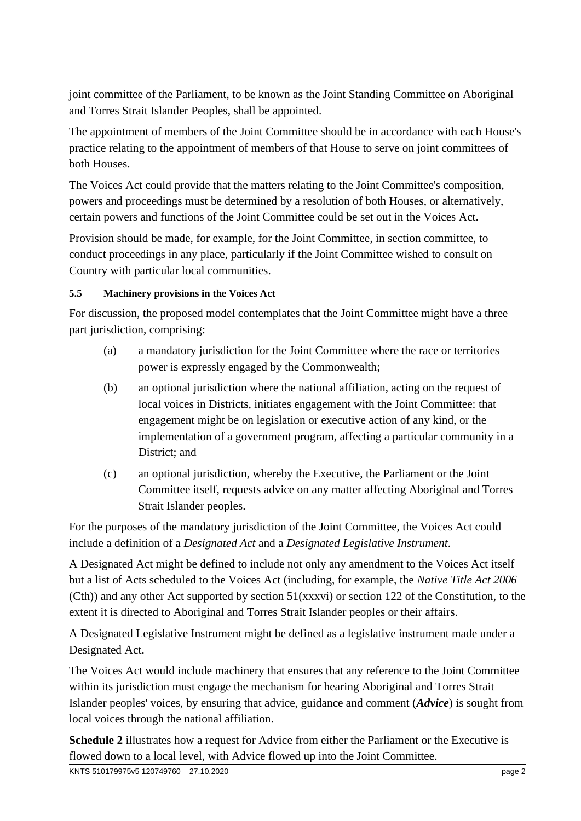joint committee of the Parliament, to be known as the Joint Standing Committee on Aboriginal and Torres Strait Islander Peoples, shall be appointed.

The appointment of members of the Joint Committee should be in accordance with each House's practice relating to the appointment of members of that House to serve on joint committees of both Houses.

The Voices Act could provide that the matters relating to the Joint Committee's composition, powers and proceedings must be determined by a resolution of both Houses, or alternatively, certain powers and functions of the Joint Committee could be set out in the Voices Act.

Provision should be made, for example, for the Joint Committee, in section committee, to conduct proceedings in any place, particularly if the Joint Committee wished to consult on Country with particular local communities.

# **5.5 Machinery provisions in the Voices Act**

For discussion, the proposed model contemplates that the Joint Committee might have a three part jurisdiction, comprising:

- (a) a mandatory jurisdiction for the Joint Committee where the race or territories power is expressly engaged by the Commonwealth;
- (b) an optional jurisdiction where the national affiliation, acting on the request of local voices in Districts, initiates engagement with the Joint Committee: that engagement might be on legislation or executive action of any kind, or the implementation of a government program, affecting a particular community in a District; and
- (c) an optional jurisdiction, whereby the Executive, the Parliament or the Joint Committee itself, requests advice on any matter affecting Aboriginal and Torres Strait Islander peoples.

For the purposes of the mandatory jurisdiction of the Joint Committee, the Voices Act could include a definition of a *Designated Act* and a *Designated Legislative Instrument*.

A Designated Act might be defined to include not only any amendment to the Voices Act itself but a list of Acts scheduled to the Voices Act (including, for example, the *Native Title Act 2006*  (Cth)) and any other Act supported by section 51(xxxvi) or section 122 of the Constitution, to the extent it is directed to Aboriginal and Torres Strait Islander peoples or their affairs.

A Designated Legislative Instrument might be defined as a legislative instrument made under a Designated Act.

The Voices Act would include machinery that ensures that any reference to the Joint Committee within its jurisdiction must engage the mechanism for hearing Aboriginal and Torres Strait Islander peoples' voices, by ensuring that advice, guidance and comment (*Advice*) is sought from local voices through the national affiliation.

**Schedule 2** illustrates how a request for Advice from either the Parliament or the Executive is flowed down to a local level, with Advice flowed up into the Joint Committee.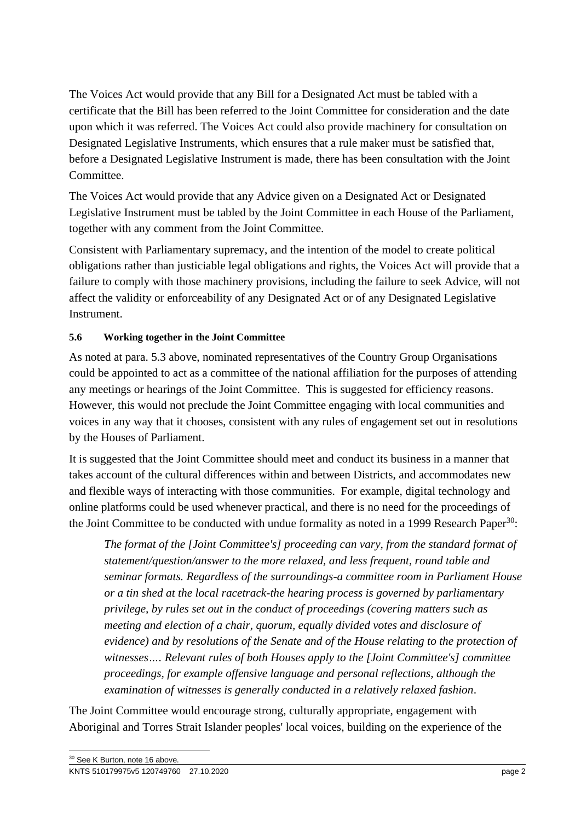The Voices Act would provide that any Bill for a Designated Act must be tabled with a certificate that the Bill has been referred to the Joint Committee for consideration and the date upon which it was referred. The Voices Act could also provide machinery for consultation on Designated Legislative Instruments, which ensures that a rule maker must be satisfied that, before a Designated Legislative Instrument is made, there has been consultation with the Joint Committee.

The Voices Act would provide that any Advice given on a Designated Act or Designated Legislative Instrument must be tabled by the Joint Committee in each House of the Parliament, together with any comment from the Joint Committee.

Consistent with Parliamentary supremacy, and the intention of the model to create political obligations rather than justiciable legal obligations and rights, the Voices Act will provide that a failure to comply with those machinery provisions, including the failure to seek Advice, will not affect the validity or enforceability of any Designated Act or of any Designated Legislative Instrument.

# **5.6 Working together in the Joint Committee**

As noted at para. 5.3 above, nominated representatives of the Country Group Organisations could be appointed to act as a committee of the national affiliation for the purposes of attending any meetings or hearings of the Joint Committee. This is suggested for efficiency reasons. However, this would not preclude the Joint Committee engaging with local communities and voices in any way that it chooses, consistent with any rules of engagement set out in resolutions by the Houses of Parliament.

It is suggested that the Joint Committee should meet and conduct its business in a manner that takes account of the cultural differences within and between Districts, and accommodates new and flexible ways of interacting with those communities. For example, digital technology and online platforms could be used whenever practical, and there is no need for the proceedings of the Joint Committee to be conducted with undue formality as noted in a 1999 Research Paper<sup>30</sup>:

*The format of the [Joint Committee's] proceeding can vary, from the standard format of statement/question/answer to the more relaxed, and less frequent, round table and seminar formats. Regardless of the surroundings-a committee room in Parliament House or a tin shed at the local racetrack-the hearing process is governed by parliamentary privilege, by rules set out in the conduct of proceedings (covering matters such as meeting and election of a chair, quorum, equally divided votes and disclosure of evidence) and by resolutions of the Senate and of the House relating to the protection of witnesses…. Relevant rules of both Houses apply to the [Joint Committee's] committee proceedings, for example offensive language and personal reflections, although the examination of witnesses is generally conducted in a relatively relaxed fashion*.

The Joint Committee would encourage strong, culturally appropriate, engagement with Aboriginal and Torres Strait Islander peoples' local voices, building on the experience of the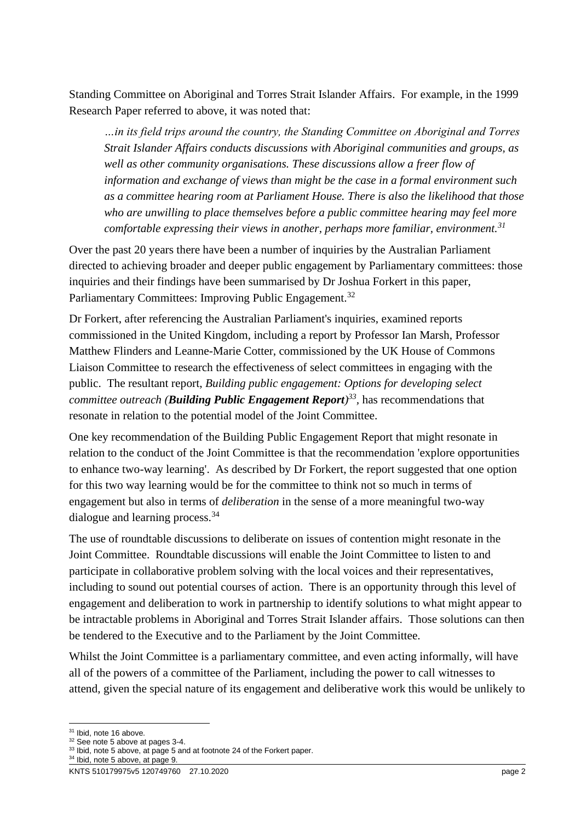Standing Committee on Aboriginal and Torres Strait Islander Affairs. For example, in the 1999 Research Paper referred to above, it was noted that:

*…in its field trips around the country, the Standing Committee on Aboriginal and Torres Strait Islander Affairs conducts discussions with Aboriginal communities and groups, as well as other community organisations. These discussions allow a freer flow of information and exchange of views than might be the case in a formal environment such as a committee hearing room at Parliament House. There is also the likelihood that those who are unwilling to place themselves before a public committee hearing may feel more comfortable expressing their views in another, perhaps more familiar, environment.<sup>31</sup>*

Over the past 20 years there have been a number of inquiries by the Australian Parliament directed to achieving broader and deeper public engagement by Parliamentary committees: those inquiries and their findings have been summarised by Dr Joshua Forkert in this paper, Parliamentary Committees: Improving Public Engagement.<sup>32</sup>

Dr Forkert, after referencing the Australian Parliament's inquiries, examined reports commissioned in the United Kingdom, including a report by Professor Ian Marsh, Professor Matthew Flinders and Leanne-Marie Cotter, commissioned by the UK House of Commons Liaison Committee to research the effectiveness of select committees in engaging with the public. The resultant report, *Building public engagement: Options for developing select committee outreach (Building Public Engagement Report) 33,* has recommendations that resonate in relation to the potential model of the Joint Committee.

One key recommendation of the Building Public Engagement Report that might resonate in relation to the conduct of the Joint Committee is that the recommendation 'explore opportunities to enhance two-way learning'. As described by Dr Forkert, the report suggested that one option for this two way learning would be for the committee to think not so much in terms of engagement but also in terms of *deliberation* in the sense of a more meaningful two-way dialogue and learning process.<sup>34</sup>

 be intractable problems in Aboriginal and Torres Strait Islander affairs. Those solutions can then The use of roundtable discussions to deliberate on issues of contention might resonate in the Joint Committee. Roundtable discussions will enable the Joint Committee to listen to and participate in collaborative problem solving with the local voices and their representatives, including to sound out potential courses of action. There is an opportunity through this level of engagement and deliberation to work in partnership to identify solutions to what might appear to be tendered to the Executive and to the Parliament by the Joint Committee.

Whilst the Joint Committee is a parliamentary committee, and even acting informally, will have all of the powers of a committee of the Parliament, including the power to call witnesses to attend, given the special nature of its engagement and deliberative work this would be unlikely to

<sup>&</sup>lt;sup>31</sup> Ibid, note 16 above.

 $32$  See note 5 above at pages 3-4.

<sup>&</sup>lt;sup>33</sup> Ibid, note 5 above, at page 5 and at footnote 24 of the Forkert paper.

 $34$  Ibid, note 5 above, at page 9.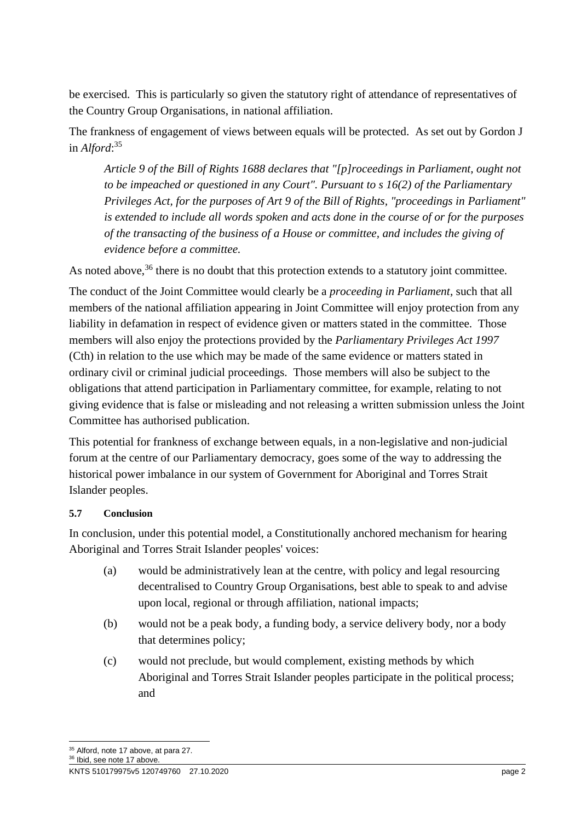be exercised. This is particularly so given the statutory right of attendance of representatives of the Country Group Organisations, in national affiliation.

The frankness of engagement of views between equals will be protected. As set out by Gordon J in *Alford*: 35

*Article 9 of the Bill of Rights 1688 declares that "[p]roceedings in Parliament, ought not to be impeached or questioned in any Court". Pursuant to s 16(2) of the Parliamentary Privileges Act, for the purposes of Art 9 of the Bill of Rights, "proceedings in Parliament" is extended to include all words spoken and acts done in the course of or for the purposes of the transacting of the business of a House or committee, and includes the giving of evidence before a committee.* 

As noted above,<sup>36</sup> there is no doubt that this protection extends to a statutory joint committee.

 ordinary civil or criminal judicial proceedings. Those members will also be subject to the The conduct of the Joint Committee would clearly be a *proceeding in Parliament*, such that all members of the national affiliation appearing in Joint Committee will enjoy protection from any liability in defamation in respect of evidence given or matters stated in the committee. Those members will also enjoy the protections provided by the *Parliamentary Privileges Act 1997*  (Cth) in relation to the use which may be made of the same evidence or matters stated in obligations that attend participation in Parliamentary committee, for example, relating to not giving evidence that is false or misleading and not releasing a written submission unless the Joint Committee has authorised publication.

This potential for frankness of exchange between equals, in a non-legislative and non-judicial forum at the centre of our Parliamentary democracy, goes some of the way to addressing the historical power imbalance in our system of Government for Aboriginal and Torres Strait Islander peoples.

#### **5.7 Conclusion**

In conclusion, under this potential model, a Constitutionally anchored mechanism for hearing Aboriginal and Torres Strait Islander peoples' voices:

- (a) would be administratively lean at the centre, with policy and legal resourcing decentralised to Country Group Organisations, best able to speak to and advise upon local, regional or through affiliation, national impacts;
- (b) would not be a peak body, a funding body, a service delivery body, nor a body that determines policy;
- (c) would not preclude, but would complement, existing methods by which Aboriginal and Torres Strait Islander peoples participate in the political process; and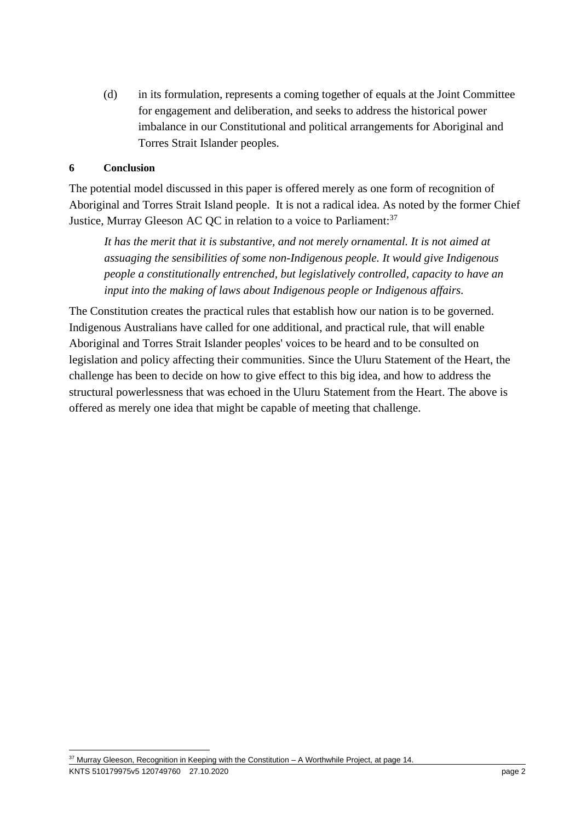(d) in its formulation, represents a coming together of equals at the Joint Committee for engagement and deliberation, and seeks to address the historical power imbalance in our Constitutional and political arrangements for Aboriginal and Torres Strait Islander peoples.

#### **6 Conclusion**

The potential model discussed in this paper is offered merely as one form of recognition of Aboriginal and Torres Strait Island people. It is not a radical idea. As noted by the former Chief Justice, Murray Gleeson AC QC in relation to a voice to Parliament:<sup>37</sup>

*It has the merit that it is substantive, and not merely ornamental. It is not aimed at assuaging the sensibilities of some non-Indigenous people. It would give Indigenous people a constitutionally entrenched, but legislatively controlled, capacity to have an input into the making of laws about Indigenous people or Indigenous affairs.* 

The Constitution creates the practical rules that establish how our nation is to be governed. Indigenous Australians have called for one additional, and practical rule, that will enable Aboriginal and Torres Strait Islander peoples' voices to be heard and to be consulted on legislation and policy affecting their communities. Since the Uluru Statement of the Heart, the challenge has been to decide on how to give effect to this big idea, and how to address the structural powerlessness that was echoed in the Uluru Statement from the Heart. The above is offered as merely one idea that might be capable of meeting that challenge.

 KNTS 510179975v5 120749760 27.10.2020 page 2  $37$  Murray Gleeson, Recognition in Keeping with the Constitution  $-$  A Worthwhile Project, at page 14.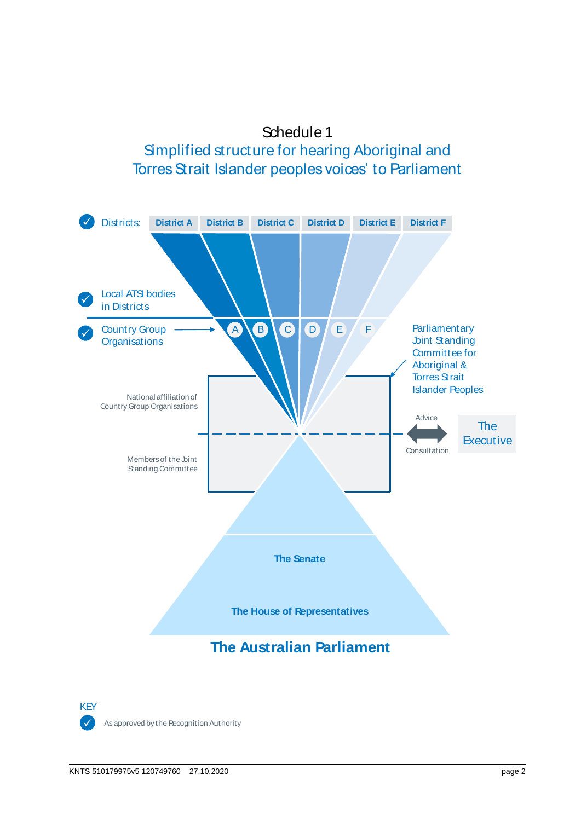



As approved by the Recognition Authority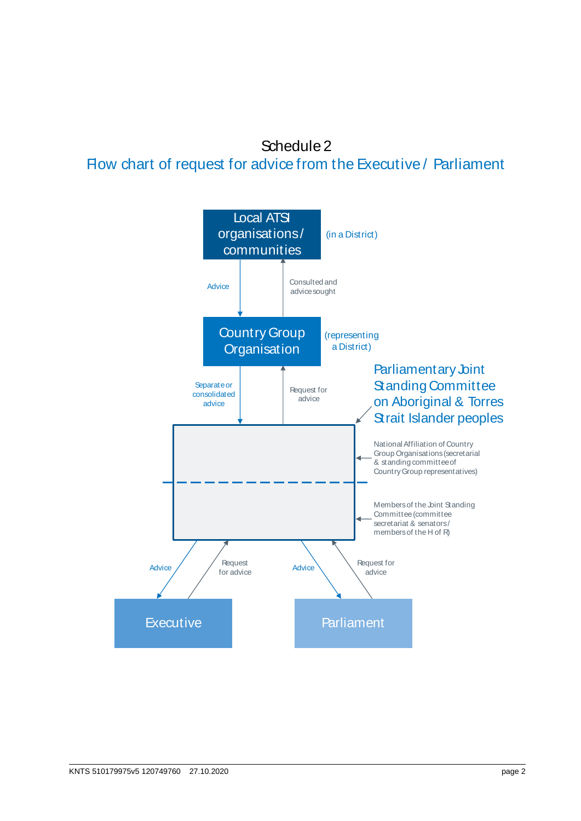Schedule 2 Flow chart of request for advice from the Executive / Parliament

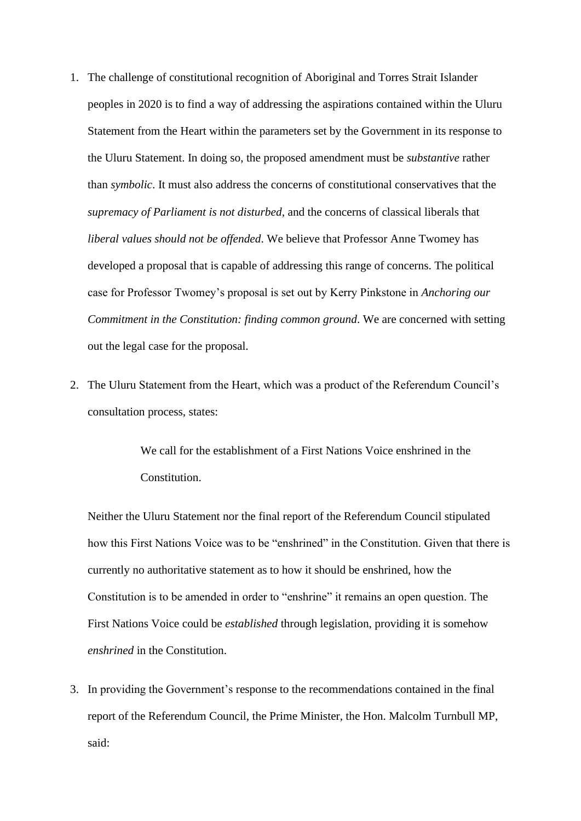- 1. The challenge of constitutional recognition of Aboriginal and Torres Strait Islander peoples in 2020 is to find a way of addressing the aspirations contained within the Uluru Statement from the Heart within the parameters set by the Government in its response to the Uluru Statement. In doing so, the proposed amendment must be *substantive* rather than *symbolic*. It must also address the concerns of constitutional conservatives that the *supremacy of Parliament is not disturbed*, and the concerns of classical liberals that *liberal values should not be offended*. We believe that Professor Anne Twomey has developed a proposal that is capable of addressing this range of concerns. The political case for Professor Twomey's proposal is set out by Kerry Pinkstone in *Anchoring our Commitment in the Constitution: finding common ground*. We are concerned with setting out the legal case for the proposal.
- 2. The Uluru Statement from the Heart, which was a product of the Referendum Council's consultation process, states:

We call for the establishment of a First Nations Voice enshrined in the Constitution.

Neither the Uluru Statement nor the final report of the Referendum Council stipulated how this First Nations Voice was to be "enshrined" in the Constitution. Given that there is currently no authoritative statement as to how it should be enshrined, how the Constitution is to be amended in order to "enshrine" it remains an open question. The First Nations Voice could be *established* through legislation, providing it is somehow *enshrined* in the Constitution.

3. In providing the Government's response to the recommendations contained in the final report of the Referendum Council, the Prime Minister, the Hon. Malcolm Turnbull MP, said: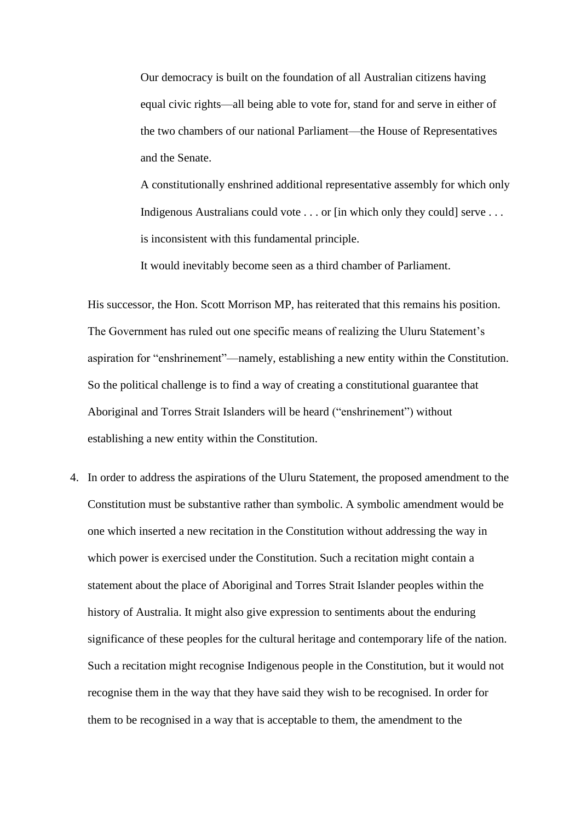Our democracy is built on the foundation of all Australian citizens having equal civic rights—all being able to vote for, stand for and serve in either of the two chambers of our national Parliament—the House of Representatives and the Senate.

A constitutionally enshrined additional representative assembly for which only Indigenous Australians could vote . . . or [in which only they could] serve . . . is inconsistent with this fundamental principle.

It would inevitably become seen as a third chamber of Parliament.

His successor, the Hon. Scott Morrison MP, has reiterated that this remains his position. The Government has ruled out one specific means of realizing the Uluru Statement's aspiration for "enshrinement"—namely, establishing a new entity within the Constitution. So the political challenge is to find a way of creating a constitutional guarantee that Aboriginal and Torres Strait Islanders will be heard ("enshrinement") without establishing a new entity within the Constitution.

4. In order to address the aspirations of the Uluru Statement, the proposed amendment to the Constitution must be substantive rather than symbolic. A symbolic amendment would be one which inserted a new recitation in the Constitution without addressing the way in which power is exercised under the Constitution. Such a recitation might contain a statement about the place of Aboriginal and Torres Strait Islander peoples within the history of Australia. It might also give expression to sentiments about the enduring significance of these peoples for the cultural heritage and contemporary life of the nation. Such a recitation might recognise Indigenous people in the Constitution, but it would not recognise them in the way that they have said they wish to be recognised. In order for them to be recognised in a way that is acceptable to them, the amendment to the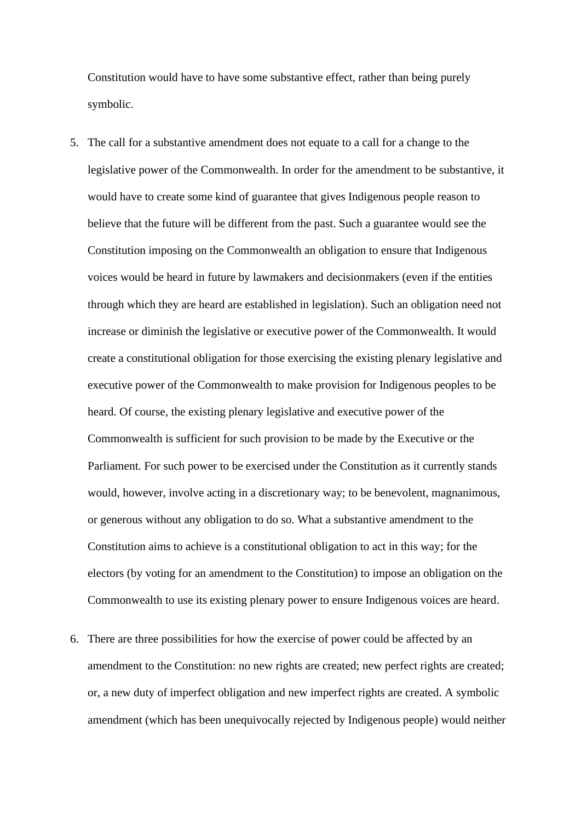Constitution would have to have some substantive effect, rather than being purely symbolic.

- 5. The call for a substantive amendment does not equate to a call for a change to the legislative power of the Commonwealth. In order for the amendment to be substantive, it would have to create some kind of guarantee that gives Indigenous people reason to believe that the future will be different from the past. Such a guarantee would see the Constitution imposing on the Commonwealth an obligation to ensure that Indigenous voices would be heard in future by lawmakers and decisionmakers (even if the entities through which they are heard are established in legislation). Such an obligation need not increase or diminish the legislative or executive power of the Commonwealth. It would create a constitutional obligation for those exercising the existing plenary legislative and executive power of the Commonwealth to make provision for Indigenous peoples to be heard. Of course, the existing plenary legislative and executive power of the Commonwealth is sufficient for such provision to be made by the Executive or the Parliament. For such power to be exercised under the Constitution as it currently stands would, however, involve acting in a discretionary way; to be benevolent, magnanimous, or generous without any obligation to do so. What a substantive amendment to the Constitution aims to achieve is a constitutional obligation to act in this way; for the electors (by voting for an amendment to the Constitution) to impose an obligation on the Commonwealth to use its existing plenary power to ensure Indigenous voices are heard.
- 6. There are three possibilities for how the exercise of power could be affected by an amendment to the Constitution: no new rights are created; new perfect rights are created; or, a new duty of imperfect obligation and new imperfect rights are created. A symbolic amendment (which has been unequivocally rejected by Indigenous people) would neither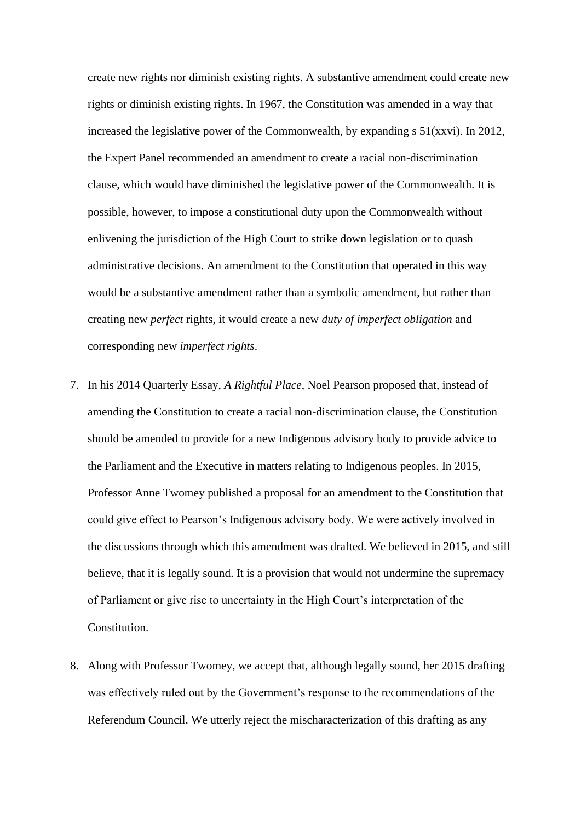create new rights nor diminish existing rights. A substantive amendment could create new rights or diminish existing rights. In 1967, the Constitution was amended in a way that increased the legislative power of the Commonwealth, by expanding s 51(xxvi). In 2012, the Expert Panel recommended an amendment to create a racial non-discrimination clause, which would have diminished the legislative power of the Commonwealth. It is possible, however, to impose a constitutional duty upon the Commonwealth without enlivening the jurisdiction of the High Court to strike down legislation or to quash administrative decisions. An amendment to the Constitution that operated in this way would be a substantive amendment rather than a symbolic amendment, but rather than creating new *perfect* rights, it would create a new *duty of imperfect obligation* and corresponding new *imperfect rights*.

- 7. In his 2014 Quarterly Essay, *A Rightful Place*, Noel Pearson proposed that, instead of amending the Constitution to create a racial non-discrimination clause, the Constitution should be amended to provide for a new Indigenous advisory body to provide advice to the Parliament and the Executive in matters relating to Indigenous peoples. In 2015, Professor Anne Twomey published a proposal for an amendment to the Constitution that could give effect to Pearson's Indigenous advisory body. We were actively involved in the discussions through which this amendment was drafted. We believed in 2015, and still believe, that it is legally sound. It is a provision that would not undermine the supremacy of Parliament or give rise to uncertainty in the High Court's interpretation of the **Constitution**
- 8. Along with Professor Twomey, we accept that, although legally sound, her 2015 drafting was effectively ruled out by the Government's response to the recommendations of the Referendum Council. We utterly reject the mischaracterization of this drafting as any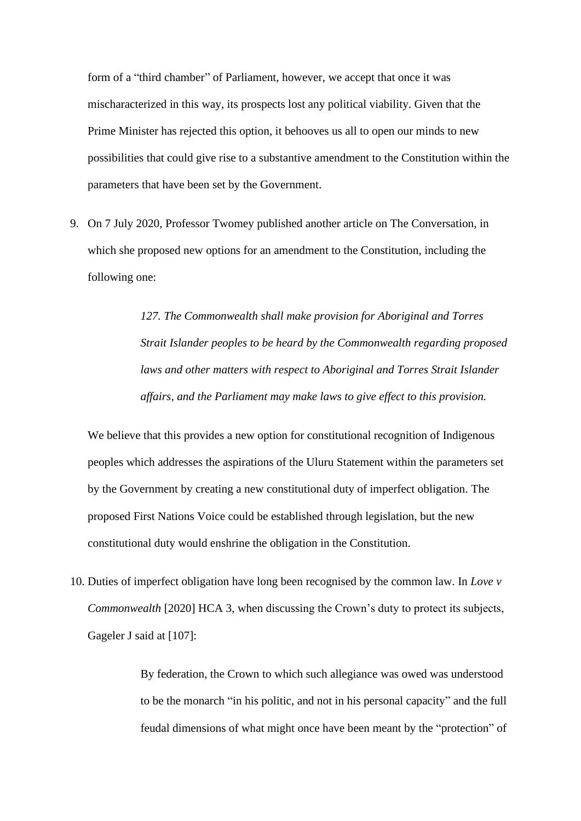form of a "third chamber" of Parliament, however, we accept that once it was mischaracterized in this way, its prospects lost any political viability. Given that the Prime Minister has rejected this option, it behooves us all to open our minds to new possibilities that could give rise to a substantive amendment to the Constitution within the parameters that have been set by the Government.

9. On 7 July 2020, Professor Twomey published another article on The Conversation, in which she proposed new options for an amendment to the Constitution, including the following one:

> *127. The Commonwealth shall make provision for Aboriginal and Torres Strait Islander peoples to be heard by the Commonwealth regarding proposed laws and other matters with respect to Aboriginal and Torres Strait Islander affairs, and the Parliament may make laws to give effect to this provision.*

We believe that this provides a new option for constitutional recognition of Indigenous peoples which addresses the aspirations of the Uluru Statement within the parameters set by the Government by creating a new constitutional duty of imperfect obligation. The proposed First Nations Voice could be established through legislation, but the new constitutional duty would enshrine the obligation in the Constitution.

 10. Duties of imperfect obligation have long been recognised by the common law. In *Love v Commonwealth* [2020] HCA 3, when discussing the Crown's duty to protect its subjects, Gageler J said at [107]:

> By federation, the Crown to which such allegiance was owed was understood to be the monarch "in his politic, and not in his personal capacity" and the full feudal dimensions of what might once have been meant by the "protection" of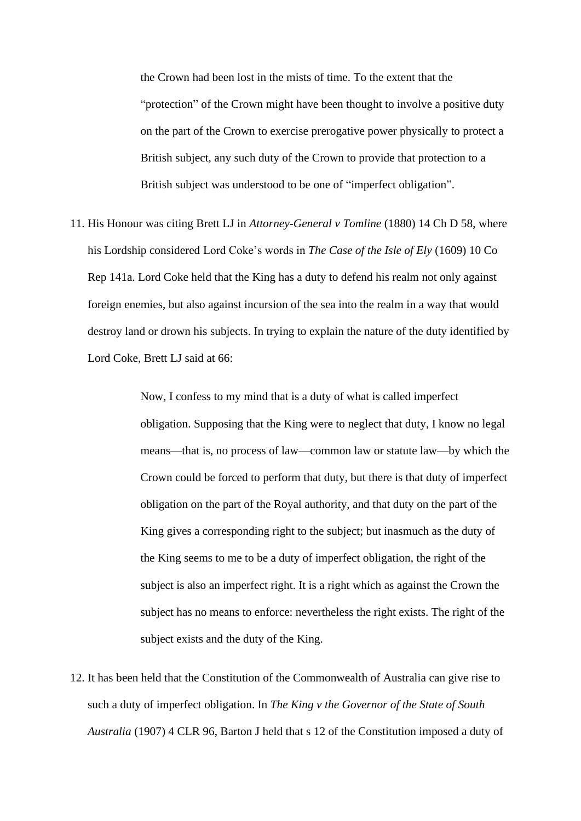the Crown had been lost in the mists of time. To the extent that the "protection" of the Crown might have been thought to involve a positive duty on the part of the Crown to exercise prerogative power physically to protect a British subject, any such duty of the Crown to provide that protection to a British subject was understood to be one of "imperfect obligation".

11. His Honour was citing Brett LJ in *Attorney-General v Tomline* (1880) 14 Ch D 58, where his Lordship considered Lord Coke's words in *The Case of the Isle of Ely* (1609) 10 Co Rep 141a. Lord Coke held that the King has a duty to defend his realm not only against foreign enemies, but also against incursion of the sea into the realm in a way that would destroy land or drown his subjects. In trying to explain the nature of the duty identified by Lord Coke, Brett LJ said at 66:

> Now, I confess to my mind that is a duty of what is called imperfect obligation. Supposing that the King were to neglect that duty, I know no legal means—that is, no process of law—common law or statute law—by which the Crown could be forced to perform that duty, but there is that duty of imperfect obligation on the part of the Royal authority, and that duty on the part of the King gives a corresponding right to the subject; but inasmuch as the duty of the King seems to me to be a duty of imperfect obligation, the right of the subject is also an imperfect right. It is a right which as against the Crown the subject has no means to enforce: nevertheless the right exists. The right of the subject exists and the duty of the King.

12. It has been held that the Constitution of the Commonwealth of Australia can give rise to such a duty of imperfect obligation. In *The King v the Governor of the State of South Australia* (1907) 4 CLR 96, Barton J held that s 12 of the Constitution imposed a duty of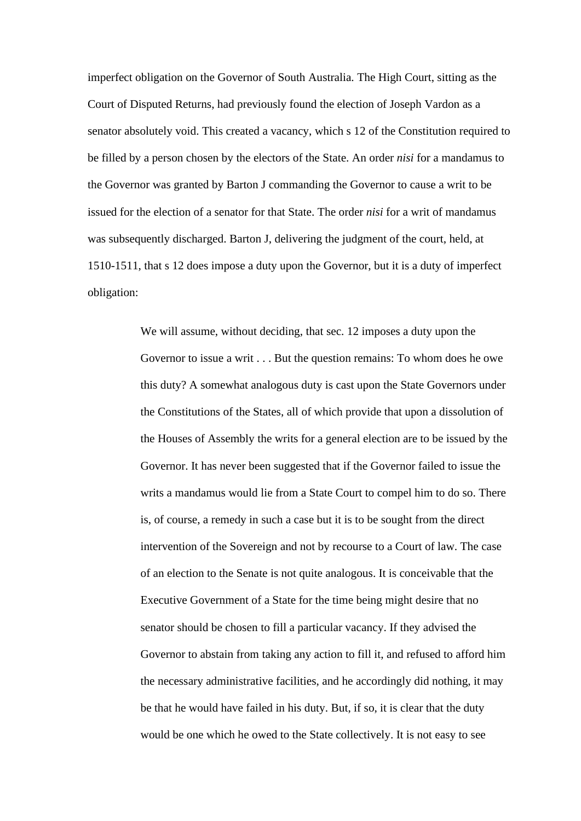be filled by a person chosen by the electors of the State. An order *nisi* for a mandamus to imperfect obligation on the Governor of South Australia. The High Court, sitting as the Court of Disputed Returns, had previously found the election of Joseph Vardon as a senator absolutely void. This created a vacancy, which s 12 of the Constitution required to the Governor was granted by Barton J commanding the Governor to cause a writ to be issued for the election of a senator for that State. The order *nisi* for a writ of mandamus was subsequently discharged. Barton J, delivering the judgment of the court, held, at 1510-1511, that s 12 does impose a duty upon the Governor, but it is a duty of imperfect obligation:

> intervention of the Sovereign and not by recourse to a Court of law. The case We will assume, without deciding, that sec. 12 imposes a duty upon the Governor to issue a writ . . . But the question remains: To whom does he owe this duty? A somewhat analogous duty is cast upon the State Governors under the Constitutions of the States, all of which provide that upon a dissolution of the Houses of Assembly the writs for a general election are to be issued by the Governor. It has never been suggested that if the Governor failed to issue the writs a mandamus would lie from a State Court to compel him to do so. There is, of course, a remedy in such a case but it is to be sought from the direct of an election to the Senate is not quite analogous. It is conceivable that the Executive Government of a State for the time being might desire that no senator should be chosen to fill a particular vacancy. If they advised the Governor to abstain from taking any action to fill it, and refused to afford him the necessary administrative facilities, and he accordingly did nothing, it may be that he would have failed in his duty. But, if so, it is clear that the duty would be one which he owed to the State collectively. It is not easy to see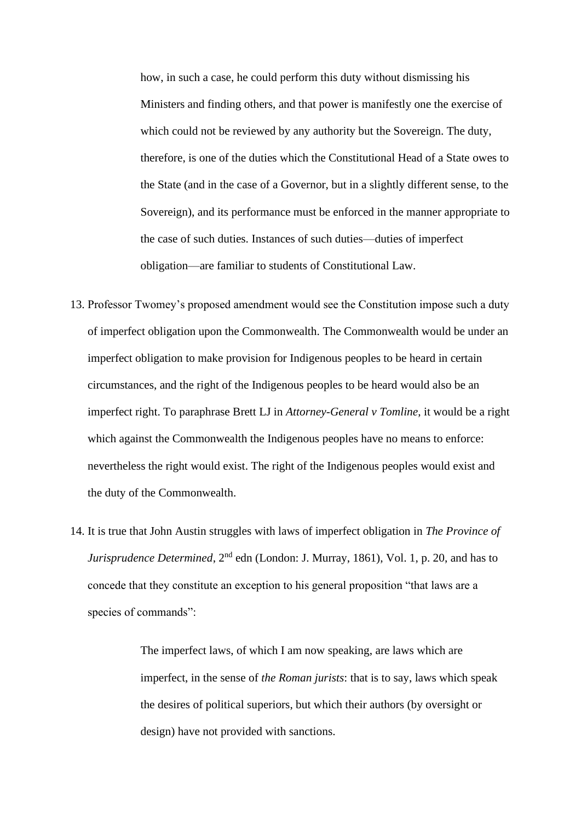how, in such a case, he could perform this duty without dismissing his Ministers and finding others, and that power is manifestly one the exercise of which could not be reviewed by any authority but the Sovereign. The duty, therefore, is one of the duties which the Constitutional Head of a State owes to the State (and in the case of a Governor, but in a slightly different sense, to the Sovereign), and its performance must be enforced in the manner appropriate to the case of such duties. Instances of such duties—duties of imperfect obligation—are familiar to students of Constitutional Law.

- 13. Professor Twomey's proposed amendment would see the Constitution impose such a duty of imperfect obligation upon the Commonwealth. The Commonwealth would be under an imperfect obligation to make provision for Indigenous peoples to be heard in certain circumstances, and the right of the Indigenous peoples to be heard would also be an imperfect right. To paraphrase Brett LJ in *Attorney-General v Tomline*, it would be a right which against the Commonwealth the Indigenous peoples have no means to enforce: nevertheless the right would exist. The right of the Indigenous peoples would exist and the duty of the Commonwealth.
- concede that they constitute an exception to his general proposition "that laws are a 14. It is true that John Austin struggles with laws of imperfect obligation in *The Province of Jurisprudence Determined*,  $2<sup>nd</sup>$  edn (London: J. Murray, 1861), Vol. 1, p. 20, and has to species of commands":

The imperfect laws, of which I am now speaking, are laws which are imperfect, in the sense of *the Roman jurists*: that is to say, laws which speak the desires of political superiors, but which their authors (by oversight or design) have not provided with sanctions.